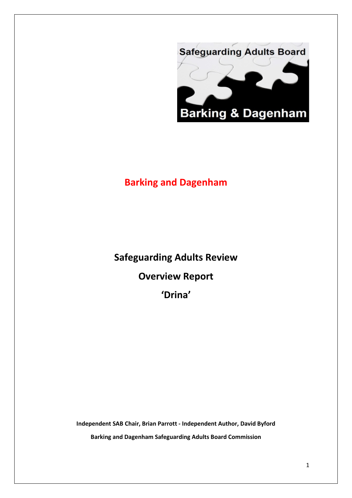

# **Barking and Dagenham**

**Safeguarding Adults Review Overview Report 'Drina'**

**Independent SAB Chair, Brian Parrott - Independent Author, David Byford Barking and Dagenham Safeguarding Adults Board Commission**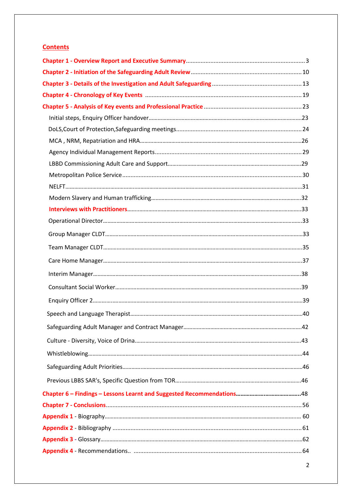# **Contents**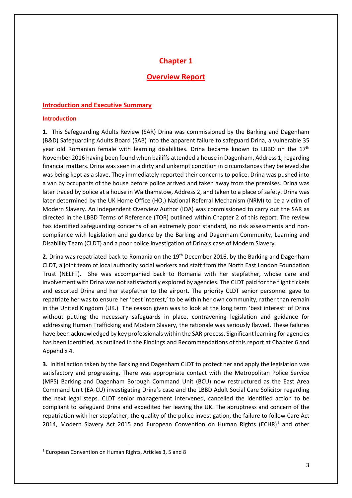# **Chapter 1**

# **Overview Report**

### **Introduction and Executive Summary**

### **Introduction**

**1.** This Safeguarding Adults Review (SAR) Drina was commissioned by the Barking and Dagenham (B&D) Safeguarding Adults Board (SAB) into the apparent failure to safeguard Drina, a vulnerable 35 year old Romanian female with learning disabilities. Drina became known to LBBD on the  $17<sup>th</sup>$ November 2016 having been found when bailiffs attended a house in Dagenham, Address 1, regarding financial matters. Drina was seen in a dirty and unkempt condition in circumstances they believed she was being kept as a slave. They immediately reported their concerns to police. Drina was pushed into a van by occupants of the house before police arrived and taken away from the premises. Drina was later traced by police at a house in Walthamstow, Address 2, and taken to a place of safety. Drina was later determined by the UK Home Office (HO,) National Referral Mechanism (NRM) to be a victim of Modern Slavery. An Independent Overview Author (IOA) was commissioned to carry out the SAR as directed in the LBBD Terms of Reference (TOR) outlined within Chapter 2 of this report. The review has identified safeguarding concerns of an extremely poor standard, no risk assessments and noncompliance with legislation and guidance by the Barking and Dagenham Community, Learning and Disability Team (CLDT) and a poor police investigation of Drina's case of Modern Slavery.

**2.** Drina was repatriated back to Romania on the 19th December 2016, by the Barking and Dagenham CLDT, a joint team of local authority social workers and staff from the North East London Foundation Trust (NELFT). She was accompanied back to Romania with her stepfather, whose care and involvement with Drina was not satisfactorily explored by agencies. The CLDT paid for the flight tickets and escorted Drina and her stepfather to the airport. The priority CLDT senior personnel gave to repatriate her was to ensure her 'best interest,' to be within her own community, rather than remain in the United Kingdom (UK.) The reason given was to look at the long term 'best interest' of Drina without putting the necessary safeguards in place, contravening legislation and guidance for addressing Human Trafficking and Modern Slavery, the rationale was seriously flawed. These failures have been acknowledged by key professionals within the SAR process. Significant learning for agencies has been identified, as outlined in the Findings and Recommendations of this report at Chapter 6 and Appendix 4.

**3.** Initial action taken by the Barking and Dagenham CLDT to protect her and apply the legislation was satisfactory and progressing. There was appropriate contact with the Metropolitan Police Service (MPS) Barking and Dagenham Borough Command Unit (BCU) now restructured as the East Area Command Unit (EA-CU) investigating Drina's case and the LBBD Adult Social Care Solicitor regarding the next legal steps. CLDT senior management intervened, cancelled the identified action to be compliant to safeguard Drina and expedited her leaving the UK. The abruptness and concern of the repatriation with her stepfather, the quality of the police investigation, the failure to follow Care Act 20[1](#page-2-0)4, Modern Slavery Act 2015 and European Convention on Human Rights (ECHR)<sup>1</sup> and other

 $\overline{\phantom{a}}$ 

<span id="page-2-0"></span> $1$  European Convention on Human Rights, Articles 3, 5 and 8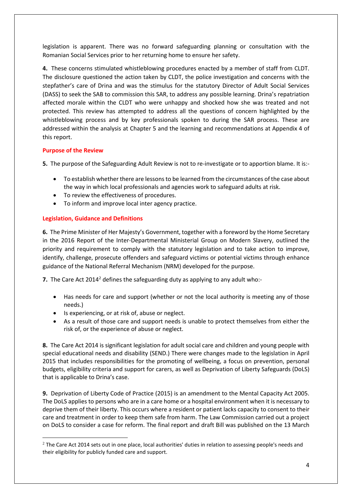legislation is apparent. There was no forward safeguarding planning or consultation with the Romanian Social Services prior to her returning home to ensure her safety.

**4.** These concerns stimulated whistleblowing procedures enacted by a member of staff from CLDT. The disclosure questioned the action taken by CLDT, the police investigation and concerns with the stepfather's care of Drina and was the stimulus for the statutory Director of Adult Social Services (DASS) to seek the SAB to commission this SAR, to address any possible learning. Drina's repatriation affected morale within the CLDT who were unhappy and shocked how she was treated and not protected. This review has attempted to address all the questions of concern highlighted by the whistleblowing process and by key professionals spoken to during the SAR process. These are addressed within the analysis at Chapter 5 and the learning and recommendations at Appendix 4 of this report.

# **Purpose of the Review**

 $\overline{\phantom{a}}$ 

**5.** The purpose of the Safeguarding Adult Review is not to re-investigate or to apportion blame. It is:-

- To establish whether there are lessons to be learned from the circumstances of the case about the way in which local professionals and agencies work to safeguard adults at risk.
- To review the effectiveness of procedures.
- To inform and improve local inter agency practice.

# **Legislation, Guidance and Definitions**

**6.** The Prime Minister of Her Majesty's Government, together with a foreword by the Home Secretary in the 2016 Report of the Inter-Departmental Ministerial Group on Modern Slavery, outlined the priority and requirement to comply with the statutory legislation and to take action to improve, identify, challenge, prosecute offenders and safeguard victims or potential victims through enhance guidance of the National Referral Mechanism (NRM) developed for the purpose.

**7.** The Care Act [2](#page-3-0)014<sup>2</sup> defines the safeguarding duty as applying to any adult who:-

- Has needs for care and support (whether or not the local authority is meeting any of those needs.)
- Is experiencing, or at risk of, abuse or neglect.
- As a result of those care and support needs is unable to protect themselves from either the risk of, or the experience of abuse or neglect.

**8.** The Care Act 2014 is significant legislation for adult social care and children and young people with special educational needs and disability (SEND.) There were changes made to the legislation in April 2015 that includes responsibilities for the promoting of wellbeing, a focus on prevention, personal budgets, eligibility criteria and support for carers, as well as Deprivation of Liberty Safeguards (DoLS) that is applicable to Drina's case.

**9.** Deprivation of Liberty Code of Practice (2015) is an amendment to the Mental Capacity Act 2005. The DoLS applies to persons who are in a care home or a hospital environment when it is necessary to deprive them of their liberty. This occurs where a resident or patient lacks capacity to consent to their care and treatment in order to keep them safe from harm. The Law Commission carried out a project on DoLS to consider a case for reform. The final report and draft Bill was published on the 13 March

<span id="page-3-0"></span><sup>&</sup>lt;sup>2</sup> The Care Act 2014 sets out in one place, local authorities' duties in relation to assessing people's needs and their eligibility for publicly funded care and support.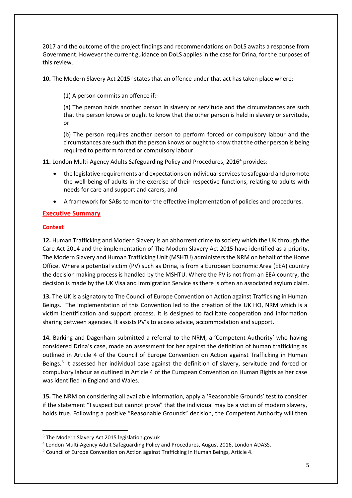2017 and the outcome of the project findings and recommendations on DoLS awaits a response from Government. However the current guidance on DoLS applies in the case for Drina, for the purposes of this review.

**10.** The Modern Slavery Act 2015<sup>[3](#page-4-0)</sup> states that an offence under that act has taken place where;

(1) A person commits an offence if:-

(a) The person holds another person in slavery or servitude and the circumstances are such that the person knows or ought to know that the other person is held in slavery or servitude, or

(b) The person requires another person to perform forced or compulsory labour and the circumstances are such that the person knows or ought to know that the other person is being required to perform forced or compulsory labour.

11. London Multi-Agency Adults Safeguarding Policy and Procedures, 2016<sup>[4](#page-4-1)</sup> provides:-

- the legislative requirements and expectations on individual services to safeguard and promote the well-being of adults in the exercise of their respective functions, relating to adults with needs for care and support and carers, and
- A framework for SABs to monitor the effective implementation of policies and procedures.

# **Executive Summary**

# **Context**

 $\overline{\phantom{a}}$ 

**12.** Human Trafficking and Modern Slavery is an abhorrent crime to society which the UK through the Care Act 2014 and the implementation of The Modern Slavery Act 2015 have identified as a priority. The Modern Slavery and Human Trafficking Unit (MSHTU) administers the NRM on behalf of the Home Office. Where a potential victim (PV) such as Drina, is from a European Economic Area (EEA) country the decision making process is handled by the MSHTU. Where the PV is not from an EEA country, the decision is made by the UK Visa and Immigration Service as there is often an associated asylum claim.

**13.** The UK is a signatory to The Council of Europe Convention on Action against Trafficking in Human Beings. The implementation of this Convention led to the creation of the UK HO, NRM which is a victim identification and support process. It is designed to facilitate cooperation and information sharing between agencies. It assists PV's to access advice, accommodation and support.

**14.** Barking and Dagenham submitted a referral to the NRM, a 'Competent Authority' who having considered Drina's case, made an assessment for her against the definition of human trafficking as outlined in Article 4 of the Council of Europe Convention on Action against Trafficking in Human Beings.<sup>[5](#page-4-2)</sup> It assessed her individual case against the definition of slavery, servitude and forced or compulsory labour as outlined in Article 4 of the European Convention on Human Rights as her case was identified in England and Wales.

**15.** The NRM on considering all available information, apply a 'Reasonable Grounds' test to consider if the statement "I suspect but cannot prove" that the individual may be a victim of modern slavery, holds true. Following a positive "Reasonable Grounds" decision, the Competent Authority will then

<span id="page-4-0"></span> $3$  The Modern Slavery Act 2015 legislation.gov.uk

<span id="page-4-1"></span><sup>4</sup> London Multi-Agency Adult Safeguarding Policy and Procedures, August 2016, London ADASS.

<span id="page-4-2"></span><sup>5</sup> Council of Europe Convention on Action against Trafficking in Human Beings, Article 4.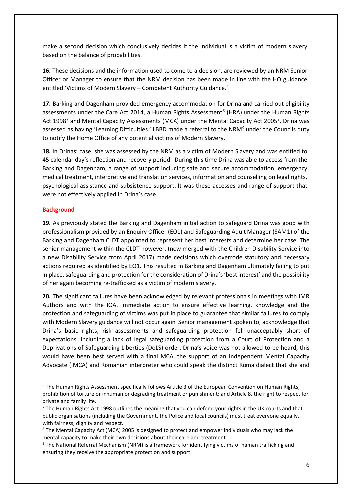make a second decision which conclusively decides if the individual is a victim of modern slavery based on the balance of probabilities.

**16.** These decisions and the information used to come to a decision, are reviewed by an NRM Senior Officer or Manager to ensure that the NRM decision has been made in line with the HO guidance entitled 'Victims of Modern Slavery – Competent Authority Guidance.'

**17.** Barking and Dagenham provided emergency accommodation for Drina and carried out eligibility assessments under the Care Act 2014, a Human Rights Assessment<sup>[6](#page-5-0)</sup> (HRA) under the Human Rights Act 199[8](#page-5-2)<sup>7</sup> and Mental Capacity Assessments (MCA) under the Mental Capacity Act 2005<sup>8</sup>. Drina was assessed as having 'Learning Difficulties.' LBBD made a referral to the NRM<sup>[9](#page-5-3)</sup> under the Councils duty to notify the Home Office of any potential victims of Modern Slavery.

**18.** In Drinas' case, she was assessed by the NRM as a victim of Modern Slavery and was entitled to 45 calendar day's reflection and recovery period. During this time Drina was able to access from the Barking and Dagenham, a range of support including safe and secure accommodation, emergency medical treatment, interpretive and translation services, information and counselling on legal rights, psychological assistance and subsistence support. It was these accesses and range of support that were not effectively applied in Drina's case.

### **Background**

**19.** As previously stated the Barking and Dagenham initial action to safeguard Drina was good with professionalism provided by an Enquiry Officer (EO1) and Safeguarding Adult Manager (SAM1) of the Barking and Dagenham CLDT appointed to represent her best interests and determine her case. The senior management within the CLDT however, (now merged with the Children Disability Service into a new Disability Service from April 2017) made decisions which overrode statutory and necessary actions required as identified by EO1. This resulted in Barking and Dagenham ultimately failing to put in place, safeguarding and protection for the consideration of Drina's 'best interest' and the possibility of her again becoming re-trafficked as a victim of modern slavery.

**20.** The significant failures have been acknowledged by relevant professionals in meetings with IMR Authors and with the IOA. Immediate action to ensure effective learning, knowledge and the protection and safeguarding of victims was put in place to guarantee that similar failures to comply with Modern Slavery guidance will not occur again. Senior management spoken to, acknowledge that Drina's basic rights, risk assessments and safeguarding protection fell unacceptably short of expectations, including a lack of legal safeguarding protection from a Court of Protection and a Deprivations of Safeguarding Liberties (DoLS) order. Drina's voice was not allowed to be heard, this would have been best served with a final MCA, the support of an Independent Mental Capacity Advocate (IMCA) and Romanian interpreter who could speak the distinct Roma dialect that she and

<span id="page-5-0"></span> <sup>6</sup> The Human Rights Assessment specifically follows Article 3 of the European Convention on Human Rights, prohibition of torture or inhuman or degrading treatment or punishment; and Article 8, the right to respect for private and family life.

<span id="page-5-1"></span> $<sup>7</sup>$  The Human Rights Act 1998 outlines the meaning that you can defend your rights in the UK courts and that</sup> public organisations (including the Government, the Police and local councils) must treat everyone equally, with fairness, dignity and respect.

<span id="page-5-2"></span><sup>8</sup> The Mental Capacity Act (MCA) 2005 is designed to protect and empower individuals who may lack the mental capacity to make their own decisions about their care and treatment

<span id="page-5-3"></span><sup>9</sup> The National Referral Mechanism (NRM) is a framework for identifying victims of human trafficking and ensuring they receive the appropriate protection and support.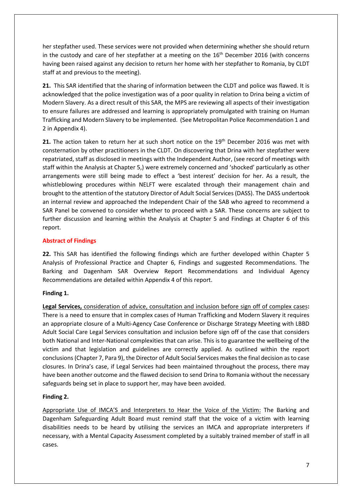her stepfather used. These services were not provided when determining whether she should return in the custody and care of her stepfather at a meeting on the  $16<sup>th</sup>$  December 2016 (with concerns having been raised against any decision to return her home with her stepfather to Romania, by CLDT staff at and previous to the meeting).

**21.** This SAR identified that the sharing of information between the CLDT and police was flawed. It is acknowledged that the police investigation was of a poor quality in relation to Drina being a victim of Modern Slavery. As a direct result of this SAR, the MPS are reviewing all aspects of their investigation to ensure failures are addressed and learning is appropriately promulgated with training on Human Trafficking and Modern Slavery to be implemented. (See Metropolitan Police Recommendation 1 and 2 in Appendix 4).

**21.** The action taken to return her at such short notice on the 19th December 2016 was met with consternation by other practitioners in the CLDT. On discovering that Drina with her stepfather were repatriated, staff as disclosed in meetings with the Independent Author, (see record of meetings with staff within the Analysis at Chapter 5,) were extremely concerned and 'shocked' particularly as other arrangements were still being made to effect a 'best interest' decision for her. As a result, the whistleblowing procedures within NELFT were escalated through their management chain and brought to the attention of the statutory Director of Adult Social Services (DASS). The DASS undertook an internal review and approached the Independent Chair of the SAB who agreed to recommend a SAR Panel be convened to consider whether to proceed with a SAR. These concerns are subject to further discussion and learning within the Analysis at Chapter 5 and Findings at Chapter 6 of this report.

# **Abstract of Findings**

**22.** This SAR has identified the following findings which are further developed within Chapter 5 Analysis of Professional Practice and Chapter 6, Findings and suggested Recommendations. The Barking and Dagenham SAR Overview Report Recommendations and Individual Agency Recommendations are detailed within Appendix 4 of this report.

# **Finding 1.**

**Legal Services,** consideration of advice, consultation and inclusion before sign off of complex cases**:**  There is a need to ensure that in complex cases of Human Trafficking and Modern Slavery it requires an appropriate closure of a Multi-Agency Case Conference or Discharge Strategy Meeting with LBBD Adult Social Care Legal Services consultation and inclusion before sign off of the case that considers both National and Inter-National complexities that can arise. This is to guarantee the wellbeing of the victim and that legislation and guidelines are correctly applied. As outlined within the report conclusions (Chapter 7, Para 9), the Director of Adult Social Services makes the final decision as to case closures. In Drina's case, if Legal Services had been maintained throughout the process, there may have been another outcome and the flawed decision to send Drina to Romania without the necessary safeguards being set in place to support her, may have been avoided.

# **Finding 2.**

Appropriate Use of IMCA'S and Interpreters to Hear the Voice of the Victim: The Barking and Dagenham Safeguarding Adult Board must remind staff that the voice of a victim with learning disabilities needs to be heard by utilising the services an IMCA and appropriate interpreters if necessary, with a Mental Capacity Assessment completed by a suitably trained member of staff in all cases.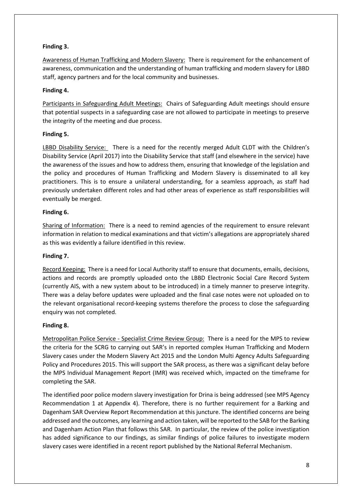# **Finding 3.**

Awareness of Human Trafficking and Modern Slavery: There is requirement for the enhancement of awareness, communication and the understanding of human trafficking and modern slavery for LBBD staff, agency partners and for the local community and businesses.

# **Finding 4.**

Participants in Safeguarding Adult Meetings: Chairs of Safeguarding Adult meetings should ensure that potential suspects in a safeguarding case are not allowed to participate in meetings to preserve the integrity of the meeting and due process.

# **Finding 5.**

LBBD Disability Service: There is a need for the recently merged Adult CLDT with the Children's Disability Service (April 2017) into the Disability Service that staff (and elsewhere in the service) have the awareness of the issues and how to address them, ensuring that knowledge of the legislation and the policy and procedures of Human Trafficking and Modern Slavery is disseminated to all key practitioners. This is to ensure a unilateral understanding, for a seamless approach, as staff had previously undertaken different roles and had other areas of experience as staff responsibilities will eventually be merged.

# **Finding 6.**

Sharing of Information:There is a need to remind agencies of the requirement to ensure relevant information in relation to medical examinations and that victim's allegations are appropriately shared as this was evidently a failure identified in this review.

# **Finding 7.**

Record Keeping: There is a need for Local Authority staff to ensure that documents, emails, decisions, actions and records are promptly uploaded onto the LBBD Electronic Social Care Record System (currently AIS, with a new system about to be introduced) in a timely manner to preserve integrity. There was a delay before updates were uploaded and the final case notes were not uploaded on to the relevant organisational record-keeping systems therefore the process to close the safeguarding enquiry was not completed.

# **Finding 8.**

Metropolitan Police Service - Specialist Crime Review Group: There is a need for the MPS to review the criteria for the SCRG to carrying out SAR's in reported complex Human Trafficking and Modern Slavery cases under the Modern Slavery Act 2015 and the London Multi Agency Adults Safeguarding Policy and Procedures 2015. This will support the SAR process, as there was a significant delay before the MPS Individual Management Report (IMR) was received which, impacted on the timeframe for completing the SAR.

The identified poor police modern slavery investigation for Drina is being addressed (see MPS Agency Recommendation 1 at Appendix 4). Therefore, there is no further requirement for a Barking and Dagenham SAR Overview Report Recommendation at this juncture. The identified concerns are being addressed and the outcomes, any learning and action taken, will be reported to the SAB for the Barking and Dagenham Action Plan that follows this SAR. In particular, the review of the police investigation has added significance to our findings, as similar findings of police failures to investigate modern slavery cases were identified in a recent report published by the National Referral Mechanism.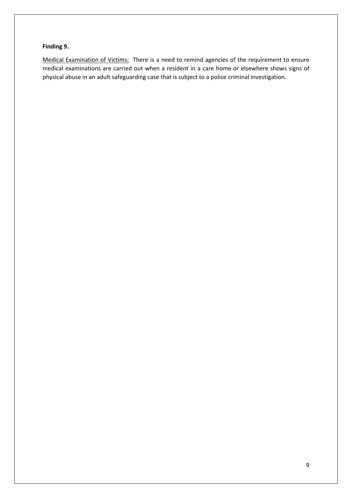# **Finding 9.**

Medical Examination of Victims:There is a need to remind agencies of the requirement to ensure medical examinations are carried out when a resident in a care home or elsewhere shows signs of physical abuse in an adult safeguarding case that is subject to a police criminal investigation.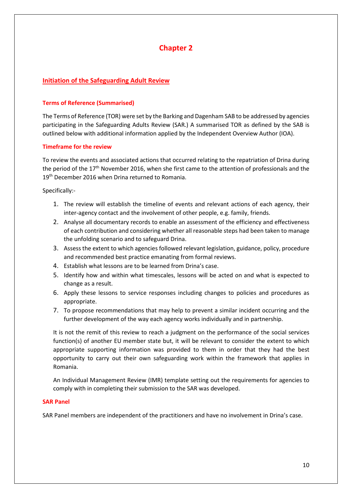# **Chapter 2**

# **Initiation of the Safeguarding Adult Review**

### **Terms of Reference (Summarised)**

The Terms of Reference (TOR) were set by the Barking and Dagenham SAB to be addressed by agencies participating in the Safeguarding Adults Review (SAR.) A summarised TOR as defined by the SAB is outlined below with additional information applied by the Independent Overview Author (IOA).

### **Timeframe for the review**

To review the events and associated actions that occurred relating to the repatriation of Drina during the period of the 17<sup>th</sup> November 2016, when she first came to the attention of professionals and the 19<sup>th</sup> December 2016 when Drina returned to Romania.

Specifically:-

- 1. The review will establish the timeline of events and relevant actions of each agency, their inter-agency contact and the involvement of other people, e.g. family, friends.
- 2. Analyse all documentary records to enable an assessment of the efficiency and effectiveness of each contribution and considering whether all reasonable steps had been taken to manage the unfolding scenario and to safeguard Drina.
- 3. Assess the extent to which agencies followed relevant legislation, guidance, policy, procedure and recommended best practice emanating from formal reviews.
- 4. Establish what lessons are to be learned from Drina's case.
- 5. Identify how and within what timescales, lessons will be acted on and what is expected to change as a result.
- 6. Apply these lessons to service responses including changes to policies and procedures as appropriate.
- 7. To propose recommendations that may help to prevent a similar incident occurring and the further development of the way each agency works individually and in partnership.

It is not the remit of this review to reach a judgment on the performance of the social services function(s) of another EU member state but, it will be relevant to consider the extent to which appropriate supporting information was provided to them in order that they had the best opportunity to carry out their own safeguarding work within the framework that applies in Romania.

An Individual Management Review (IMR) template setting out the requirements for agencies to comply with in completing their submission to the SAR was developed.

### **SAR Panel**

SAR Panel members are independent of the practitioners and have no involvement in Drina's case.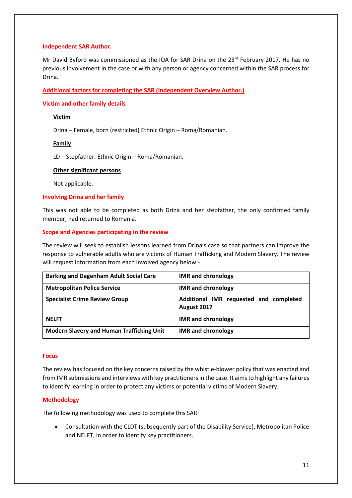### **Independent SAR Author.**

Mr David Byford was commissioned as the IOA for SAR Drina on the 23<sup>rd</sup> February 2017. He has no previous involvement in the case or with any person or agency concerned within the SAR process for Drina.

### **Additional factors for completing the SAR (Independent Overview Author.)**

### **Victim and other family details**

### **Victim**

Drina – Female, born (restricted) Ethnic Origin – Roma/Romanian.

### **Family**

LD – Stepfather. Ethnic Origin – Roma/Romanian.

### **Other significant persons**

Not applicable.

### **Involving Drina and her family**

This was not able to be completed as both Drina and her stepfather, the only confirmed family member, had returned to Romania.

### **Scope and Agencies participating in the review**

The review will seek to establish lessons learned from Drina's case so that partners can improve the response to vulnerable adults who are victims of Human Trafficking and Modern Slavery. The review will request information from each involved agency below:-

| <b>Barking and Dagenham Adult Social Care</b>    | <b>IMR</b> and chronology                             |
|--------------------------------------------------|-------------------------------------------------------|
| <b>Metropolitan Police Service</b>               | <b>IMR</b> and chronology                             |
| <b>Specialist Crime Review Group</b>             | Additional IMR requested and completed<br>August 2017 |
| <b>NELFT</b>                                     | <b>IMR</b> and chronology                             |
| <b>Modern Slavery and Human Trafficking Unit</b> | <b>IMR</b> and chronology                             |

### **Focus**

The review has focused on the key concerns raised by the whistle-blower policy that was enacted and from IMR submissions and interviews with key practitioners in the case. It aims to highlight any failures to identify learning in order to protect any victims or potential victims of Modern Slavery.

### **Methodology**

The following methodology was used to complete this SAR:

• Consultation with the CLDT (subsequently part of the Disability Service), Metropolitan Police and NELFT, in order to identify key practitioners.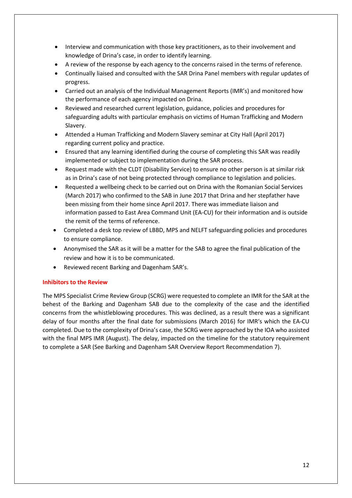- Interview and communication with those key practitioners, as to their involvement and knowledge of Drina's case, in order to identify learning.
- A review of the response by each agency to the concerns raised in the terms of reference.
- Continually liaised and consulted with the SAR Drina Panel members with regular updates of progress.
- Carried out an analysis of the Individual Management Reports (IMR's) and monitored how the performance of each agency impacted on Drina.
- Reviewed and researched current legislation, guidance, policies and procedures for safeguarding adults with particular emphasis on victims of Human Trafficking and Modern Slavery.
- Attended a Human Trafficking and Modern Slavery seminar at City Hall (April 2017) regarding current policy and practice.
- Ensured that any learning identified during the course of completing this SAR was readily implemented or subject to implementation during the SAR process.
- Request made with the CLDT (Disability Service) to ensure no other person is at similar risk as in Drina's case of not being protected through compliance to legislation and policies.
- Requested a wellbeing check to be carried out on Drina with the Romanian Social Services (March 2017) who confirmed to the SAB in June 2017 that Drina and her stepfather have been missing from their home since April 2017. There was immediate liaison and information passed to East Area Command Unit (EA-CU) for their information and is outside the remit of the terms of reference.
- Completed a desk top review of LBBD, MPS and NELFT safeguarding policies and procedures to ensure compliance.
- Anonymised the SAR as it will be a matter for the SAB to agree the final publication of the review and how it is to be communicated.
- Reviewed recent Barking and Dagenham SAR's.

### **Inhibitors to the Review**

The MPS Specialist Crime Review Group (SCRG) were requested to complete an IMR for the SAR at the behest of the Barking and Dagenham SAB due to the complexity of the case and the identified concerns from the whistleblowing procedures. This was declined, as a result there was a significant delay of four months after the final date for submissions (March 2016) for IMR's which the EA-CU completed. Due to the complexity of Drina's case, the SCRG were approached by the IOA who assisted with the final MPS IMR (August). The delay, impacted on the timeline for the statutory requirement to complete a SAR (See Barking and Dagenham SAR Overview Report Recommendation 7).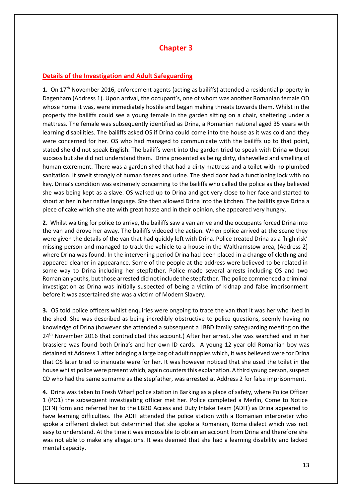# **Chapter 3**

# **Details of the Investigation and Adult Safeguarding**

**1.** On 17th November 2016, enforcement agents (acting as bailiffs) attended a residential property in Dagenham (Address 1). Upon arrival, the occupant's, one of whom was another Romanian female OD whose home it was, were immediately hostile and began making threats towards them. Whilst in the property the bailiffs could see a young female in the garden sitting on a chair, sheltering under a mattress. The female was subsequently identified as Drina, a Romanian national aged 35 years with learning disabilities. The bailiffs asked OS if Drina could come into the house as it was cold and they were concerned for her. OS who had managed to communicate with the bailiffs up to that point, stated she did not speak English. The bailiffs went into the garden tried to speak with Drina without success but she did not understand them. Drina presented as being dirty, dishevelled and smelling of human excrement. There was a garden shed that had a dirty mattress and a toilet with no plumbed sanitation. It smelt strongly of human faeces and urine. The shed door had a functioning lock with no key. Drina's condition was extremely concerning to the bailiffs who called the police as they believed she was being kept as a slave. OS walked up to Drina and got very close to her face and started to shout at her in her native language. She then allowed Drina into the kitchen. The bailiffs gave Drina a piece of cake which she ate with great haste and in their opinion, she appeared very hungry.

**2.** Whilst waiting for police to arrive, the bailiffs saw a van arrive and the occupants forced Drina into the van and drove her away. The bailiffs videoed the action. When police arrived at the scene they were given the details of the van that had quickly left with Drina. Police treated Drina as a 'high risk' missing person and managed to track the vehicle to a house in the Walthamstow area, (Address 2) where Drina was found. In the intervening period Drina had been placed in a change of clothing and appeared cleaner in appearance. Some of the people at the address were believed to be related in some way to Drina including her stepfather. Police made several arrests including OS and two Romanian youths, but those arrested did not include the stepfather. The police commenced a criminal investigation as Drina was initially suspected of being a victim of kidnap and false imprisonment before it was ascertained she was a victim of Modern Slavery.

**3.** OS told police officers whilst enquiries were ongoing to trace the van that it was her who lived in the shed. She was described as being incredibly obstructive to police questions, seemly having no knowledge of Drina (however she attended a subsequent a LBBD family safeguarding meeting on the 24<sup>th</sup> November 2016 that contradicted this account.) After her arrest, she was searched and in her brassiere was found both Drina's and her own ID cards. A young 12 year old Romanian boy was detained at Address 1 after bringing a large bag of adult nappies which, it was believed were for Drina that OS later tried to insinuate were for her. It was however noticed that she used the toilet in the house whilst police were present which, again counters this explanation. A third young person, suspect CD who had the same surname as the stepfather, was arrested at Address 2 for false imprisonment.

**4.** Drina was taken to Fresh Wharf police station in Barking as a place of safety, where Police Officer 1 (PO1) the subsequent investigating officer met her. Police completed a Merlin, Come to Notice (CTN) form and referred her to the LBBD Access and Duty Intake Team (ADIT) as Drina appeared to have learning difficulties. The ADIT attended the police station with a Romanian interpreter who spoke a different dialect but determined that she spoke a Romanian, Roma dialect which was not easy to understand. At the time it was impossible to obtain an account from Drina and therefore she was not able to make any allegations. It was deemed that she had a learning disability and lacked mental capacity.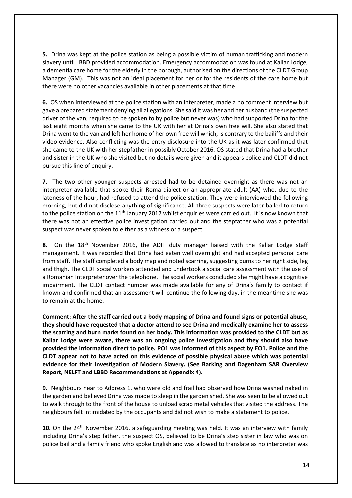**5.** Drina was kept at the police station as being a possible victim of human trafficking and modern slavery until LBBD provided accommodation. Emergency accommodation was found at Kallar Lodge, a dementia care home for the elderly in the borough, authorised on the directions of the CLDT Group Manager (GM). This was not an ideal placement for her or for the residents of the care home but there were no other vacancies available in other placements at that time.

**6.** OS when interviewed at the police station with an interpreter, made a no comment interview but gave a prepared statement denying all allegations. She said it was her and her husband (the suspected driver of the van, required to be spoken to by police but never was) who had supported Drina for the last eight months when she came to the UK with her at Drina's own free will. She also stated that Drina went to the van and left her home of her own free will which, is contrary to the bailiffs and their video evidence. Also conflicting was the entry disclosure into the UK as it was later confirmed that she came to the UK with her stepfather in possibly October 2016. OS stated that Drina had a brother and sister in the UK who she visited but no details were given and it appears police and CLDT did not pursue this line of enquiry.

**7.** The two other younger suspects arrested had to be detained overnight as there was not an interpreter available that spoke their Roma dialect or an appropriate adult (AA) who, due to the lateness of the hour, had refused to attend the police station. They were interviewed the following morning, but did not disclose anything of significance. All three suspects were later bailed to return to the police station on the 11<sup>th</sup> January 2017 whilst enquiries were carried out. It is now known that there was not an effective police investigation carried out and the stepfather who was a potential suspect was never spoken to either as a witness or a suspect.

8. On the 18<sup>th</sup> November 2016, the ADIT duty manager liaised with the Kallar Lodge staff management. It was recorded that Drina had eaten well overnight and had accepted personal care from staff. The staff completed a body map and noted scarring, suggesting burns to her right side, leg and thigh. The CLDT social workers attended and undertook a social care assessment with the use of a Romanian Interpreter over the telephone. The social workers concluded she might have a cognitive impairment. The CLDT contact number was made available for any of Drina's family to contact if known and confirmed that an assessment will continue the following day, in the meantime she was to remain at the home.

**Comment: After the staff carried out a body mapping of Drina and found signs or potential abuse, they should have requested that a doctor attend to see Drina and medically examine her to assess the scarring and burn marks found on her body. This information was provided to the CLDT but as Kallar Lodge were aware, there was an ongoing police investigation and they should also have provided the information direct to police. PO1 was informed of this aspect by EO1. Police and the CLDT appear not to have acted on this evidence of possible physical abuse which was potential evidence for their investigation of Modern Slavery. (See Barking and Dagenham SAR Overview Report, NELFT and LBBD Recommendations at Appendix 4).**

**9.** Neighbours near to Address 1, who were old and frail had observed how Drina washed naked in the garden and believed Drina was made to sleep in the garden shed. She was seen to be allowed out to walk through to the front of the house to unload scrap metal vehicles that visited the address. The neighbours felt intimidated by the occupants and did not wish to make a statement to police.

10. On the 24<sup>th</sup> November 2016, a safeguarding meeting was held. It was an interview with family including Drina's step father, the suspect OS, believed to be Drina's step sister in law who was on police bail and a family friend who spoke English and was allowed to translate as no interpreter was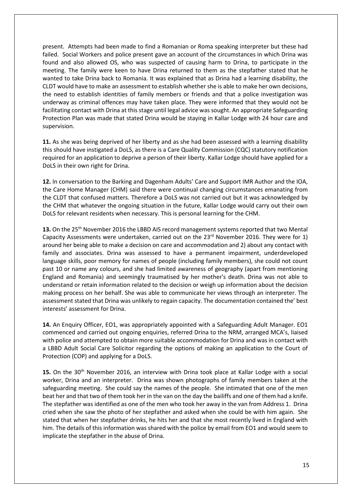present. Attempts had been made to find a Romanian or Roma speaking interpreter but these had failed. Social Workers and police present gave an account of the circumstances in which Drina was found and also allowed OS, who was suspected of causing harm to Drina, to participate in the meeting. The family were keen to have Drina returned to them as the stepfather stated that he wanted to take Drina back to Romania. It was explained that as Drina had a learning disability, the CLDT would have to make an assessment to establish whether she is able to make her own decisions, the need to establish identities of family members or friends and that a police investigation was underway as criminal offences may have taken place. They were informed that they would not be facilitating contact with Drina at this stage until legal advice was sought. An appropriate Safeguarding Protection Plan was made that stated Drina would be staying in Kallar Lodge with 24 hour care and supervision.

**11.** As she was being deprived of her liberty and as she had been assessed with a learning disability this should have instigated a DoLS, as there is a Care Quality Commission (CQC) statutory notification required for an application to deprive a person of their liberty. Kallar Lodge should have applied for a DoLS in their own right for Drina.

**12.** In conversation to the Barking and Dagenham Adults' Care and Support IMR Author and the IOA, the Care Home Manager (CHM) said there were continual changing circumstances emanating from the CLDT that confused matters. Therefore a DoLS was not carried out but it was acknowledged by the CHM that whatever the ongoing situation in the future, Kallar Lodge would carry out their own DoLS for relevant residents when necessary. This is personal learning for the CHM.

13. On the 25<sup>th</sup> November 2016 the LBBD AIS record management systems reported that two Mental Capacity Assessments were undertaken, carried out on the  $23<sup>rd</sup>$  November 2016. They were for 1) around her being able to make a decision on care and accommodation and 2) about any contact with family and associates. Drina was assessed to have a permanent impairment, underdeveloped language skills, poor memory for names of people (including family members), she could not count past 10 or name any colours, and she had limited awareness of geography (apart from mentioning England and Romania) and seemingly traumatised by her mother's death. Drina was not able to understand or retain information related to the decision or weigh up information about the decision making process on her behalf. She was able to communicate her views through an interpreter. The assessment stated that Drina was unlikely to regain capacity. The documentation contained the' best interests' assessment for Drina.

**14.** An Enquiry Officer, EO1, was appropriately appointed with a Safeguarding Adult Manager. EO1 commenced and carried out ongoing enquiries, referred Drina to the NRM, arranged MCA's, liaised with police and attempted to obtain more suitable accommodation for Drina and was in contact with a LBBD Adult Social Care Solicitor regarding the options of making an application to the Court of Protection (COP) and applying for a DoLS.

**15.** On the 30th November 2016, an interview with Drina took place at Kallar Lodge with a social worker, Drina and an interpreter. Drina was shown photographs of family members taken at the safeguarding meeting. She could say the names of the people. She intimated that one of the men beat her and that two of them took her in the van on the day the bailiffs and one of them had a knife. The stepfather was identified as one of the men who took her away in the van from Address 1. Drina cried when she saw the photo of her stepfather and asked when she could be with him again. She stated that when her stepfather drinks, he hits her and that she most recently lived in England with him. The details of this information was shared with the police by email from EO1 and would seem to implicate the stepfather in the abuse of Drina.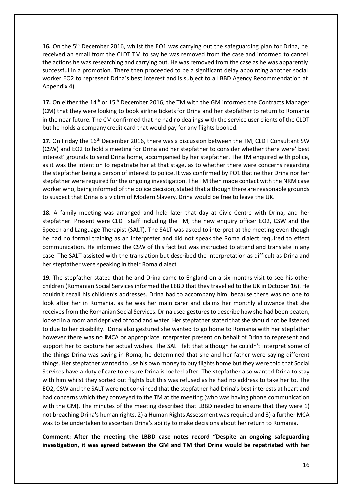**16.** On the 5th December 2016, whilst the EO1 was carrying out the safeguarding plan for Drina, he received an email from the CLDT TM to say he was removed from the case and informed to cancel the actions he was researching and carrying out. He was removed from the case as he was apparently successful in a promotion. There then proceeded to be a significant delay appointing another social worker EO2 to represent Drina's best interest and is subject to a LBBD Agency Recommendation at Appendix 4).

17. On either the 14<sup>th</sup> or 15<sup>th</sup> December 2016, the TM with the GM informed the Contracts Manager (CM) that they were looking to book airline tickets for Drina and her stepfather to return to Romania in the near future. The CM confirmed that he had no dealings with the service user clients of the CLDT but he holds a company credit card that would pay for any flights booked.

**17.** On Friday the 16th December 2016, there was a discussion between the TM, CLDT Consultant SW (CSW) and EO2 to hold a meeting for Drina and her stepfather to consider whether there were' best interest' grounds to send Drina home, accompanied by her stepfather. The TM enquired with police, as it was the intention to repatriate her at that stage, as to whether there were concerns regarding the stepfather being a person of interest to police. It was confirmed by PO1 that neither Drina nor her stepfather were required for the ongoing investigation. The TM then made contact with the NRM case worker who, being informed of the police decision, stated that although there are reasonable grounds to suspect that Drina is a victim of Modern Slavery, Drina would be free to leave the UK.

**18.** A family meeting was arranged and held later that day at Civic Centre with Drina, and her stepfather. Present were CLDT staff including the TM, the new enquiry officer EO2, CSW and the Speech and Language Therapist (SALT). The SALT was asked to interpret at the meeting even though he had no formal training as an interpreter and did not speak the Roma dialect required to effect communication. He informed the CSW of this fact but was instructed to attend and translate in any case. The SALT assisted with the translation but described the interpretation as difficult as Drina and her stepfather were speaking in their Roma dialect.

**19.** The stepfather stated that he and Drina came to England on a six months visit to see his other children (Romanian Social Services informed the LBBD that they travelled to the UK in October 16). He couldn't recall his children's addresses. Drina had to accompany him, because there was no one to look after her in Romania, as he was her main carer and claims her monthly allowance that she receives from the Romanian Social Services. Drina used gestures to describe how she had been beaten, locked in a room and deprived of food and water. Her stepfather stated that she should not be listened to due to her disability. Drina also gestured she wanted to go home to Romania with her stepfather however there was no IMCA or appropriate interpreter present on behalf of Drina to represent and support her to capture her actual wishes. The SALT felt that although he couldn't interpret some of the things Drina was saying in Roma, he determined that she and her father were saying different things. Her stepfather wanted to use his own money to buy flights home but they were told that Social Services have a duty of care to ensure Drina is looked after. The stepfather also wanted Drina to stay with him whilst they sorted out flights but this was refused as he had no address to take her to. The EO2, CSW and the SALT were not convinced that the stepfather had Drina's best interests at heart and had concerns which they conveyed to the TM at the meeting (who was having phone communication with the GM). The minutes of the meeting described that LBBD needed to ensure that they were 1) not breaching Drina's human rights, 2) a Human Rights Assessment was required and 3) a further MCA was to be undertaken to ascertain Drina's ability to make decisions about her return to Romania.

**Comment: After the meeting the LBBD case notes record "Despite an ongoing safeguarding investigation, it was agreed between the GM and TM that Drina would be repatriated with her**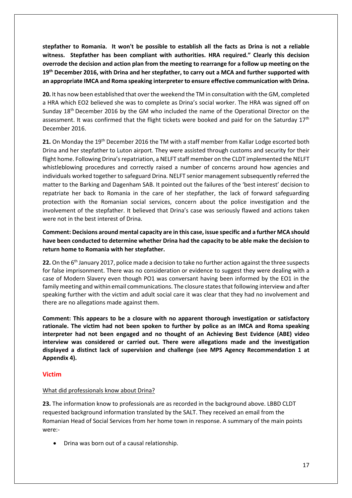**stepfather to Romania. It won't be possible to establish all the facts as Drina is not a reliable witness. Stepfather has been compliant with authorities. HRA required." Clearly this decision overrode the decision and action plan from the meeting to rearrange for a follow up meeting on the 19th December 2016, with Drina and her stepfather, to carry out a MCA and further supported with an appropriate IMCA and Roma speaking interpreter to ensure effective communication with Drina.**

**20.** It has now been established that over the weekend the TM in consultation with the GM, completed a HRA which EO2 believed she was to complete as Drina's social worker. The HRA was signed off on Sunday 18th December 2016 by the GM who included the name of the Operational Director on the assessment. It was confirmed that the flight tickets were booked and paid for on the Saturday  $17<sup>th</sup>$ December 2016.

**21.** On Monday the 19th December 2016 the TM with a staff member from Kallar Lodge escorted both Drina and her stepfather to Luton airport. They were assisted through customs and security for their flight home. Following Drina's repatriation, a NELFT staff member on the CLDT implemented the NELFT whistleblowing procedures and correctly raised a number of concerns around how agencies and individuals worked together to safeguard Drina. NELFT senior management subsequently referred the matter to the Barking and Dagenham SAB. It pointed out the failures of the 'best interest' decision to repatriate her back to Romania in the care of her stepfather, the lack of forward safeguarding protection with the Romanian social services, concern about the police investigation and the involvement of the stepfather. It believed that Drina's case was seriously flawed and actions taken were not in the best interest of Drina.

**Comment: Decisions around mental capacity are in this case, issue specific and a further MCA should have been conducted to determine whether Drina had the capacity to be able make the decision to return home to Romania with her stepfather.** 

22. On the 6<sup>th</sup> January 2017, police made a decision to take no further action against the three suspects for false imprisonment. There was no consideration or evidence to suggest they were dealing with a case of Modern Slavery even though PO1 was conversant having been informed by the EO1 in the family meeting and within email communications. The closure states that following interview and after speaking further with the victim and adult social care it was clear that they had no involvement and there are no allegations made against them.

**Comment: This appears to be a closure with no apparent thorough investigation or satisfactory rationale. The victim had not been spoken to further by police as an IMCA and Roma speaking interpreter had not been engaged and no thought of an Achieving Best Evidence (ABE) video interview was considered or carried out. There were allegations made and the investigation displayed a distinct lack of supervision and challenge (see MPS Agency Recommendation 1 at Appendix 4).**

# **Victim**

### What did professionals know about Drina?

**23.** The information know to professionals are as recorded in the background above. LBBD CLDT requested background information translated by the SALT. They received an email from the Romanian Head of Social Services from her home town in response. A summary of the main points were:-

• Drina was born out of a causal relationship.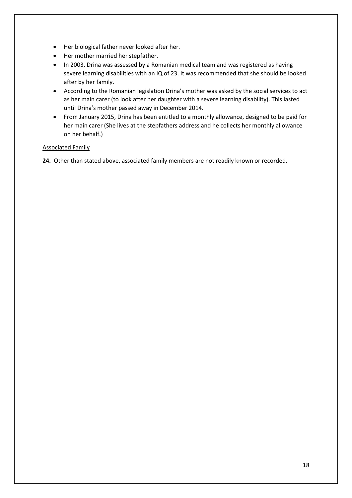- Her biological father never looked after her.
- Her mother married her stepfather.
- In 2003, Drina was assessed by a Romanian medical team and was registered as having severe learning disabilities with an IQ of 23. It was recommended that she should be looked after by her family.
- According to the Romanian legislation Drina's mother was asked by the social services to act as her main carer (to look after her daughter with a severe learning disability). This lasted until Drina's mother passed away in December 2014.
- From January 2015, Drina has been entitled to a monthly allowance, designed to be paid for her main carer (She lives at the stepfathers address and he collects her monthly allowance on her behalf.)

# Associated Family

**24.** Other than stated above, associated family members are not readily known or recorded.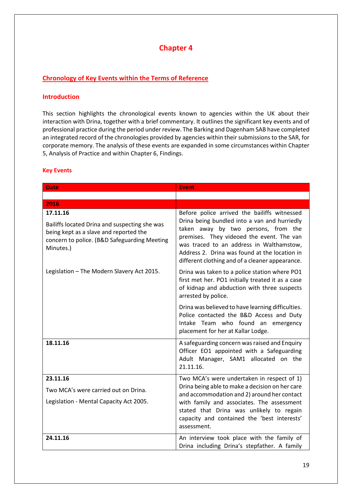# **Chapter 4**

# **Chronology of Key Events within the Terms of Reference**

### **Introduction**

This section highlights the chronological events known to agencies within the UK about their interaction with Drina, together with a brief commentary. It outlines the significant key events and of professional practice during the period under review. The Barking and Dagenham SAB have completed an integrated record of the chronologies provided by agencies within their submissions to the SAR, for corporate memory. The analysis of these events are expanded in some circumstances within Chapter 5, Analysis of Practice and within Chapter 6, Findings.

### **Key Events**

| <b>Date</b>                                                                                                                                                      | <b>Event</b>                                                                                                                                                                                                                                                                                                                     |
|------------------------------------------------------------------------------------------------------------------------------------------------------------------|----------------------------------------------------------------------------------------------------------------------------------------------------------------------------------------------------------------------------------------------------------------------------------------------------------------------------------|
|                                                                                                                                                                  |                                                                                                                                                                                                                                                                                                                                  |
| 2016                                                                                                                                                             |                                                                                                                                                                                                                                                                                                                                  |
| 17.11.16<br>Bailiffs located Drina and suspecting she was<br>being kept as a slave and reported the<br>concern to police. (B&D Safeguarding Meeting<br>Minutes.) | Before police arrived the bailiffs witnessed<br>Drina being bundled into a van and hurriedly<br>taken away by two persons, from the<br>premises. They videoed the event. The van<br>was traced to an address in Walthamstow,<br>Address 2. Drina was found at the location in<br>different clothing and of a cleaner appearance. |
| Legislation - The Modern Slavery Act 2015.                                                                                                                       | Drina was taken to a police station where PO1<br>first met her. PO1 initially treated it as a case<br>of kidnap and abduction with three suspects<br>arrested by police.                                                                                                                                                         |
|                                                                                                                                                                  | Drina was believed to have learning difficulties.<br>Police contacted the B&D Access and Duty<br>Intake Team who found an emergency<br>placement for her at Kallar Lodge.                                                                                                                                                        |
| 18.11.16                                                                                                                                                         | A safeguarding concern was raised and Enquiry<br>Officer EO1 appointed with a Safeguarding<br>Adult Manager, SAM1 allocated on the<br>21.11.16.                                                                                                                                                                                  |
| 23.11.16<br>Two MCA's were carried out on Drina.<br>Legislation - Mental Capacity Act 2005.                                                                      | Two MCA's were undertaken in respect of 1)<br>Drina being able to make a decision on her care<br>and accommodation and 2) around her contact<br>with family and associates. The assessment<br>stated that Drina was unlikely to regain<br>capacity and contained the 'best interests'<br>assessment.                             |
| 24.11.16                                                                                                                                                         | An interview took place with the family of<br>Drina including Drina's stepfather. A family                                                                                                                                                                                                                                       |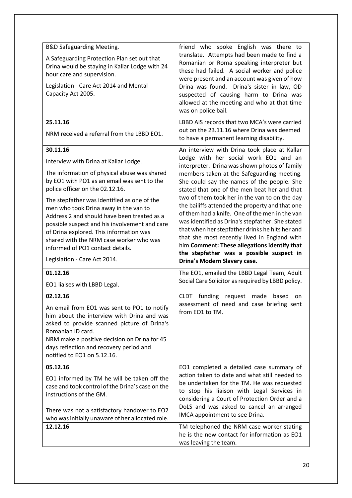| <b>B&amp;D Safeguarding Meeting.</b><br>A Safeguarding Protection Plan set out that<br>Drina would be staying in Kallar Lodge with 24<br>hour care and supervision.<br>Legislation - Care Act 2014 and Mental<br>Capacity Act 2005.                                                                                                                                                                                                                                                                                                   | friend who spoke English was there to<br>translate. Attempts had been made to find a<br>Romanian or Roma speaking interpreter but<br>these had failed. A social worker and police<br>were present and an account was given of how<br>Drina was found. Drina's sister in law, OD<br>suspected of causing harm to Drina was<br>allowed at the meeting and who at that time<br>was on police bail.                                                                                                                                                                                                                                                                                                                             |
|---------------------------------------------------------------------------------------------------------------------------------------------------------------------------------------------------------------------------------------------------------------------------------------------------------------------------------------------------------------------------------------------------------------------------------------------------------------------------------------------------------------------------------------|-----------------------------------------------------------------------------------------------------------------------------------------------------------------------------------------------------------------------------------------------------------------------------------------------------------------------------------------------------------------------------------------------------------------------------------------------------------------------------------------------------------------------------------------------------------------------------------------------------------------------------------------------------------------------------------------------------------------------------|
| 25.11.16<br>NRM received a referral from the LBBD EO1.                                                                                                                                                                                                                                                                                                                                                                                                                                                                                | LBBD AIS records that two MCA's were carried<br>out on the 23.11.16 where Drina was deemed<br>to have a permanent learning disability.                                                                                                                                                                                                                                                                                                                                                                                                                                                                                                                                                                                      |
| 30.11.16<br>Interview with Drina at Kallar Lodge.<br>The information of physical abuse was shared<br>by EO1 with PO1 as an email was sent to the<br>police officer on the 02.12.16.<br>The stepfather was identified as one of the<br>men who took Drina away in the van to<br>Address 2 and should have been treated as a<br>possible suspect and his involvement and care<br>of Drina explored. This information was<br>shared with the NRM case worker who was<br>informed of PO1 contact details.<br>Legislation - Care Act 2014. | An interview with Drina took place at Kallar<br>Lodge with her social work EO1 and an<br>interpreter. Drina was shown photos of family<br>members taken at the Safeguarding meeting.<br>She could say the names of the people. She<br>stated that one of the men beat her and that<br>two of them took her in the van to on the day<br>the bailiffs attended the property and that one<br>of them had a knife. One of the men in the van<br>was identified as Drina's stepfather. She stated<br>that when her stepfather drinks he hits her and<br>that she most recently lived in England with<br>him Comment: These allegations identify that<br>the stepfather was a possible suspect in<br>Drina's Modern Slavery case. |
| 01.12.16<br>EO1 liaises with LBBD Legal.                                                                                                                                                                                                                                                                                                                                                                                                                                                                                              | The EO1, emailed the LBBD Legal Team, Adult<br>Social Care Solicitor as required by LBBD policy.                                                                                                                                                                                                                                                                                                                                                                                                                                                                                                                                                                                                                            |
| 02.12.16<br>An email from EO1 was sent to PO1 to notify<br>him about the interview with Drina and was<br>asked to provide scanned picture of Drina's<br>Romanian ID card.<br>NRM make a positive decision on Drina for 45<br>days reflection and recovery period and<br>notified to EO1 on 5.12.16.                                                                                                                                                                                                                                   | funding request made<br>based<br><b>CLDT</b><br>on<br>assessment of need and case briefing sent<br>from EO1 to TM.                                                                                                                                                                                                                                                                                                                                                                                                                                                                                                                                                                                                          |
| 05.12.16<br>EO1 informed by TM he will be taken off the<br>case and took control of the Drina's case on the<br>instructions of the GM.<br>There was not a satisfactory handover to EO2<br>who was initially unaware of her allocated role.                                                                                                                                                                                                                                                                                            | EO1 completed a detailed case summary of<br>action taken to date and what still needed to<br>be undertaken for the TM. He was requested<br>to stop his liaison with Legal Services in<br>considering a Court of Protection Order and a<br>DoLS and was asked to cancel an arranged<br>IMCA appointment to see Drina.                                                                                                                                                                                                                                                                                                                                                                                                        |
|                                                                                                                                                                                                                                                                                                                                                                                                                                                                                                                                       |                                                                                                                                                                                                                                                                                                                                                                                                                                                                                                                                                                                                                                                                                                                             |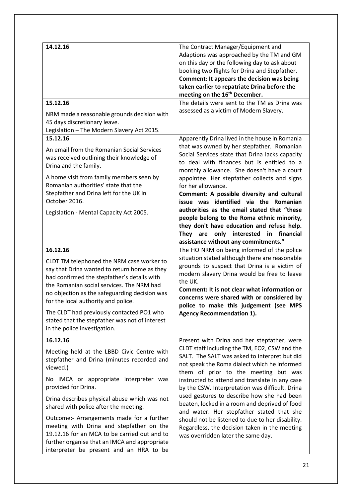| 14.12.16                                                                                                                                                                                                                                                                                                                                                                                                                 | The Contract Manager/Equipment and<br>Adaptions was approached by the TM and GM<br>on this day or the following day to ask about<br>booking two flights for Drina and Stepfather.<br>Comment: It appears the decision was being<br>taken earlier to repatriate Drina before the<br>meeting on the 16 <sup>th</sup> December.                                                       |
|--------------------------------------------------------------------------------------------------------------------------------------------------------------------------------------------------------------------------------------------------------------------------------------------------------------------------------------------------------------------------------------------------------------------------|------------------------------------------------------------------------------------------------------------------------------------------------------------------------------------------------------------------------------------------------------------------------------------------------------------------------------------------------------------------------------------|
| 15.12.16<br>NRM made a reasonable grounds decision with<br>45 days discretionary leave.<br>Legislation - The Modern Slavery Act 2015.                                                                                                                                                                                                                                                                                    | The details were sent to the TM as Drina was<br>assessed as a victim of Modern Slavery.                                                                                                                                                                                                                                                                                            |
| 15.12.16<br>An email from the Romanian Social Services<br>was received outlining their knowledge of<br>Drina and the family.                                                                                                                                                                                                                                                                                             | Apparently Drina lived in the house in Romania<br>that was owned by her stepfather. Romanian<br>Social Services state that Drina lacks capacity<br>to deal with finances but is entitled to a<br>monthly allowance. She doesn't have a court                                                                                                                                       |
| A home visit from family members seen by<br>Romanian authorities' state that the<br>Stepfather and Drina left for the UK in<br>October 2016.                                                                                                                                                                                                                                                                             | appointee. Her stepfather collects and signs<br>for her allowance.<br>Comment: A possible diversity and cultural<br>issue was identified via the Romanian<br>authorities as the email stated that "these                                                                                                                                                                           |
| Legislation - Mental Capacity Act 2005.                                                                                                                                                                                                                                                                                                                                                                                  | people belong to the Roma ethnic minority,<br>they don't have education and refuse help.<br>They are only interested in financial<br>assistance without any commitments."                                                                                                                                                                                                          |
| 16.12.16<br>CLDT TM telephoned the NRM case worker to<br>say that Drina wanted to return home as they<br>had confirmed the stepfather's details with<br>the Romanian social services. The NRM had<br>no objection as the safeguarding decision was<br>for the local authority and police.<br>The CLDT had previously contacted PO1 who<br>stated that the stepfather was not of interest<br>in the police investigation. | The HO NRM on being informed of the police<br>situation stated although there are reasonable<br>grounds to suspect that Drina is a victim of<br>modern slavery Drina would be free to leave<br>the UK.<br>Comment: It is not clear what information or<br>concerns were shared with or considered by<br>police to make this judgement (see MPS<br><b>Agency Recommendation 1).</b> |
| 16.12.16<br>Meeting held at the LBBD Civic Centre with<br>stepfather and Drina (minutes recorded and<br>viewed.)<br>No IMCA or appropriate interpreter was<br>provided for Drina.                                                                                                                                                                                                                                        | Present with Drina and her stepfather, were<br>CLDT staff including the TM, EO2, CSW and the<br>SALT. The SALT was asked to interpret but did<br>not speak the Roma dialect which he informed<br>them of prior to the meeting but was<br>instructed to attend and translate in any case<br>by the CSW. Interpretation was difficult. Drina                                         |
| Drina describes physical abuse which was not<br>shared with police after the meeting.<br>Outcome:- Arrangements made for a further                                                                                                                                                                                                                                                                                       | used gestures to describe how she had been<br>beaten, locked in a room and deprived of food<br>and water. Her stepfather stated that she<br>should not be listened to due to her disability.                                                                                                                                                                                       |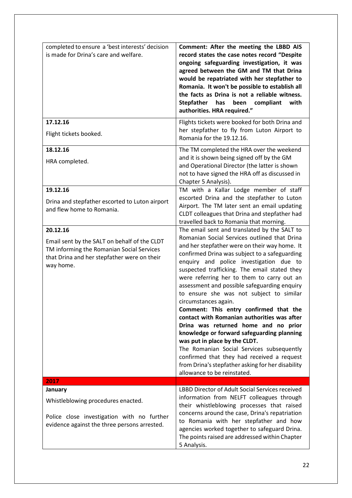| completed to ensure a 'best interests' decision<br>is made for Drina's care and welfare.                                                                          | Comment: After the meeting the LBBD AIS<br>record states the case notes record "Despite<br>ongoing safeguarding investigation, it was<br>agreed between the GM and TM that Drina<br>would be repatriated with her stepfather to<br>Romania. It won't be possible to establish all<br>the facts as Drina is not a reliable witness.<br>has<br>Stepfather<br>been compliant<br>with<br>authorities. HRA required."                                                                                                                                                                                                                                                                                                                                                                                                                                           |
|-------------------------------------------------------------------------------------------------------------------------------------------------------------------|------------------------------------------------------------------------------------------------------------------------------------------------------------------------------------------------------------------------------------------------------------------------------------------------------------------------------------------------------------------------------------------------------------------------------------------------------------------------------------------------------------------------------------------------------------------------------------------------------------------------------------------------------------------------------------------------------------------------------------------------------------------------------------------------------------------------------------------------------------|
| 17.12.16<br>Flight tickets booked.                                                                                                                                | Flights tickets were booked for both Drina and<br>her stepfather to fly from Luton Airport to<br>Romania for the 19.12.16.                                                                                                                                                                                                                                                                                                                                                                                                                                                                                                                                                                                                                                                                                                                                 |
| 18.12.16<br>HRA completed.                                                                                                                                        | The TM completed the HRA over the weekend<br>and it is shown being signed off by the GM<br>and Operational Director (the latter is shown<br>not to have signed the HRA off as discussed in<br>Chapter 5 Analysis).                                                                                                                                                                                                                                                                                                                                                                                                                                                                                                                                                                                                                                         |
| 19.12.16<br>Drina and stepfather escorted to Luton airport<br>and flew home to Romania.                                                                           | TM with a Kallar Lodge member of staff<br>escorted Drina and the stepfather to Luton<br>Airport. The TM later sent an email updating<br>CLDT colleagues that Drina and stepfather had<br>travelled back to Romania that morning.                                                                                                                                                                                                                                                                                                                                                                                                                                                                                                                                                                                                                           |
| 20.12.16<br>Email sent by the SALT on behalf of the CLDT<br>TM informing the Romanian Social Services<br>that Drina and her stepfather were on their<br>way home. | The email sent and translated by the SALT to<br>Romanian Social Services outlined that Drina<br>and her stepfather were on their way home. It<br>confirmed Drina was subject to a safeguarding<br>enquiry and police investigation due to<br>suspected trafficking. The email stated they<br>were referring her to them to carry out an<br>assessment and possible safeguarding enquiry<br>to ensure she was not subject to similar<br>circumstances again.<br>Comment: This entry confirmed that the<br>contact with Romanian authorities was after<br>Drina was returned home and no prior<br>knowledge or forward safeguarding planning<br>was put in place by the CLDT.<br>The Romanian Social Services subsequently<br>confirmed that they had received a request<br>from Drina's stepfather asking for her disability<br>allowance to be reinstated. |
| 2017<br>January                                                                                                                                                   | LBBD Director of Adult Social Services received                                                                                                                                                                                                                                                                                                                                                                                                                                                                                                                                                                                                                                                                                                                                                                                                            |
| Whistleblowing procedures enacted.<br>Police close investigation with no further<br>evidence against the three persons arrested.                                  | information from NELFT colleagues through<br>their whistleblowing processes that raised<br>concerns around the case, Drina's repatriation<br>to Romania with her stepfather and how<br>agencies worked together to safeguard Drina.<br>The points raised are addressed within Chapter<br>5 Analysis.                                                                                                                                                                                                                                                                                                                                                                                                                                                                                                                                                       |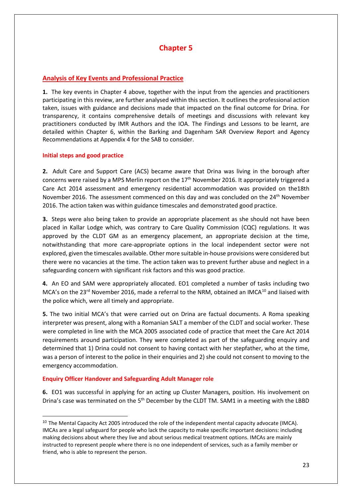# **Chapter 5**

# **Analysis of Key Events and Professional Practice**

**1.** The key events in Chapter 4 above, together with the input from the agencies and practitioners participating in this review, are further analysed within this section. It outlines the professional action taken, issues with guidance and decisions made that impacted on the final outcome for Drina. For transparency, it contains comprehensive details of meetings and discussions with relevant key practitioners conducted by IMR Authors and the IOA. The Findings and Lessons to be learnt, are detailed within Chapter 6, within the Barking and Dagenham SAR Overview Report and Agency Recommendations at Appendix 4 for the SAB to consider.

### **Initial steps and good practice**

<u>.</u>

**2.** Adult Care and Support Care (ACS) became aware that Drina was living in the borough after concerns were raised by a MPS Merlin report on the 17<sup>th</sup> November 2016. It appropriately triggered a Care Act 2014 assessment and emergency residential accommodation was provided on the18th November 2016. The assessment commenced on this day and was concluded on the 24<sup>th</sup> November 2016. The action taken was within guidance timescales and demonstrated good practice.

**3.** Steps were also being taken to provide an appropriate placement as she should not have been placed in Kallar Lodge which, was contrary to Care Quality Commission (CQC) regulations. It was approved by the CLDT GM as an emergency placement, an appropriate decision at the time, notwithstanding that more care-appropriate options in the local independent sector were not explored, given the timescales available. Other more suitable in-house provisions were considered but there were no vacancies at the time. The action taken was to prevent further abuse and neglect in a safeguarding concern with significant risk factors and this was good practice.

**4.** An EO and SAM were appropriately allocated. EO1 completed a number of tasks including two MCA's on the 23<sup>rd</sup> November 2016, made a referral to the NRM, obtained an IMCA<sup>[10](#page-22-0)</sup> and liaised with the police which, were all timely and appropriate.

**5.** The two initial MCA's that were carried out on Drina are factual documents. A Roma speaking interpreter was present, along with a Romanian SALT a member of the CLDT and social worker. These were completed in line with the MCA 2005 associated code of practice that meet the Care Act 2014 requirements around participation. They were completed as part of the safeguarding enquiry and determined that 1) Drina could not consent to having contact with her stepfather, who at the time, was a person of interest to the police in their enquiries and 2) she could not consent to moving to the emergency accommodation.

# **Enquiry Officer Handover and Safeguarding Adult Manager role**

**6.** EO1 was successful in applying for an acting up Cluster Managers, position. His involvement on Drina's case was terminated on the 5<sup>th</sup> December by the CLDT TM. SAM1 in a meeting with the LBBD

<span id="page-22-0"></span><sup>&</sup>lt;sup>10</sup> The Mental Capacity Act 2005 introduced the role of the independent mental capacity advocate (IMCA). IMCAs are a legal safeguard for people who lack the capacity to make specific important decisions: including making decisions about where they live and about serious medical treatment options. IMCAs are mainly instructed to represent people where there is no one independent of services, such as a family member or friend, who is able to represent the person.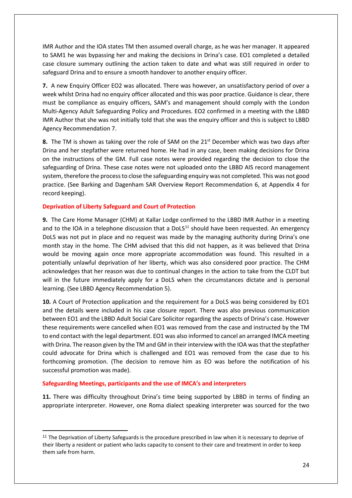IMR Author and the IOA states TM then assumed overall charge, as he was her manager. It appeared to SAM1 he was bypassing her and making the decisions in Drina's case. EO1 completed a detailed case closure summary outlining the action taken to date and what was still required in order to safeguard Drina and to ensure a smooth handover to another enquiry officer.

**7.** A new Enquiry Officer EO2 was allocated. There was however, an unsatisfactory period of over a week whilst Drina had no enquiry officer allocated and this was poor practice. Guidance is clear, there must be compliance as enquiry officers, SAM's and management should comply with the London Multi-Agency Adult Safeguarding Policy and Procedures. EO2 confirmed in a meeting with the LBBD IMR Author that she was not initially told that she was the enquiry officer and this is subject to LBBD Agency Recommendation 7.

**8.** The TM is shown as taking over the role of SAM on the 21<sup>st</sup> December which was two days after Drina and her stepfather were returned home. He had in any case, been making decisions for Drina on the instructions of the GM. Full case notes were provided regarding the decision to close the safeguarding of Drina. These case notes were not uploaded onto the LBBD AIS record management system, therefore the process to close the safeguarding enquiry was not completed. This was not good practice. (See Barking and Dagenham SAR Overview Report Recommendation 6, at Appendix 4 for record keeping).

# **Deprivation of Liberty Safeguard and Court of Protection**

**9.** The Care Home Manager (CHM) at Kallar Lodge confirmed to the LBBD IMR Author in a meeting and to the IOA in a telephone discussion that a  $DOLS^{11}$  $DOLS^{11}$  $DOLS^{11}$  should have been requested. An emergency DoLS was not put in place and no request was made by the managing authority during Drina's one month stay in the home. The CHM advised that this did not happen, as it was believed that Drina would be moving again once more appropriate accommodation was found. This resulted in a potentially unlawful deprivation of her liberty, which was also considered poor practice. The CHM acknowledges that her reason was due to continual changes in the action to take from the CLDT but will in the future immediately apply for a DoLS when the circumstances dictate and is personal learning. (See LBBD Agency Recommendation 5).

**10.** A Court of Protection application and the requirement for a DoLS was being considered by EO1 and the details were included in his case closure report. There was also previous communication between EO1 and the LBBD Adult Social Care Solicitor regarding the aspects of Drina's case. However these requirements were cancelled when EO1 was removed from the case and instructed by the TM to end contact with the legal department. EO1 was also informed to cancel an arranged IMCA meeting with Drina. The reason given by the TM and GM in their interview with the IOA was that the stepfather could advocate for Drina which is challenged and EO1 was removed from the case due to his forthcoming promotion. (The decision to remove him as EO was before the notification of his successful promotion was made).

### **Safeguarding Meetings, participants and the use of IMCA's and interpreters**

 $\overline{\phantom{a}}$ 

**11.** There was difficulty throughout Drina's time being supported by LBBD in terms of finding an appropriate interpreter. However, one Roma dialect speaking interpreter was sourced for the two

<span id="page-23-0"></span><sup>&</sup>lt;sup>11</sup> The Deprivation of Liberty Safeguards is the procedure prescribed in law when it is necessary to deprive of their liberty a resident or patient who lacks capacity to consent to their care and treatment in order to keep them safe from harm.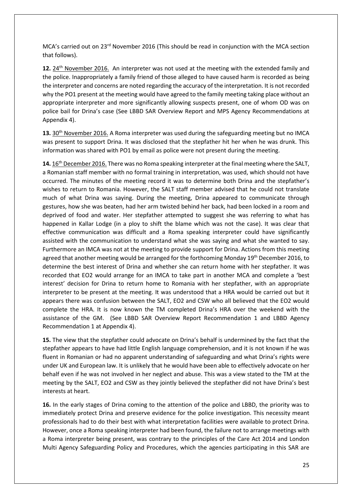MCA's carried out on 23<sup>rd</sup> November 2016 (This should be read in conjunction with the MCA section that follows).

**12.** 24th November 2016. An interpreter was not used at the meeting with the extended family and the police. Inappropriately a family friend of those alleged to have caused harm is recorded as being the interpreter and concerns are noted regarding the accuracy of the interpretation. It is not recorded why the PO1 present at the meeting would have agreed to the family meeting taking place without an appropriate interpreter and more significantly allowing suspects present, one of whom OD was on police bail for Drina's case (See LBBD SAR Overview Report and MPS Agency Recommendations at Appendix 4).

**13.** 30th November 2016. A Roma interpreter was used during the safeguarding meeting but no IMCA was present to support Drina. It was disclosed that the stepfather hit her when he was drunk. This information was shared with PO1 by email as police were not present during the meeting.

**14.** 16th December 2016. There was no Roma speaking interpreter at the final meeting where the SALT, a Romanian staff member with no formal training in interpretation, was used, which should not have occurred. The minutes of the meeting record it was to determine both Drina and the stepfather's wishes to return to Romania. However, the SALT staff member advised that he could not translate much of what Drina was saying. During the meeting, Drina appeared to communicate through gestures, how she was beaten, had her arm twisted behind her back, had been locked in a room and deprived of food and water. Her stepfather attempted to suggest she was referring to what has happened in Kallar Lodge (in a ploy to shift the blame which was not the case). It was clear that effective communication was difficult and a Roma speaking interpreter could have significantly assisted with the communication to understand what she was saying and what she wanted to say. Furthermore an IMCA was not at the meeting to provide support for Drina. Actions from this meeting agreed that another meeting would be arranged for the forthcoming Monday 19<sup>th</sup> December 2016, to determine the best interest of Drina and whether she can return home with her stepfather. It was recorded that EO2 would arrange for an IMCA to take part in another MCA and complete a 'best interest' decision for Drina to return home to Romania with her stepfather, with an appropriate interpreter to be present at the meeting. It was understood that a HRA would be carried out but it appears there was confusion between the SALT, EO2 and CSW who all believed that the EO2 would complete the HRA. It is now known the TM completed Drina's HRA over the weekend with the assistance of the GM. (See LBBD SAR Overview Report Recommendation 1 and LBBD Agency Recommendation 1 at Appendix 4).

**15.** The view that the stepfather could advocate on Drina's behalf is undermined by the fact that the stepfather appears to have had little English language comprehension, and it is not known if he was fluent in Romanian or had no apparent understanding of safeguarding and what Drina's rights were under UK and European law. It is unlikely that he would have been able to effectively advocate on her behalf even if he was not involved in her neglect and abuse. This was a view stated to the TM at the meeting by the SALT, EO2 and CSW as they jointly believed the stepfather did not have Drina's best interests at heart.

**16.** In the early stages of Drina coming to the attention of the police and LBBD, the priority was to immediately protect Drina and preserve evidence for the police investigation. This necessity meant professionals had to do their best with what interpretation facilities were available to protect Drina. However, once a Roma speaking interpreter had been found, the failure not to arrange meetings with a Roma interpreter being present, was contrary to the principles of the Care Act 2014 and London Multi Agency Safeguarding Policy and Procedures, which the agencies participating in this SAR are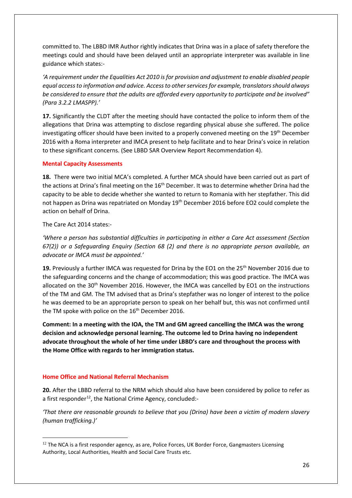committed to. The LBBD IMR Author rightly indicates that Drina was in a place of safety therefore the meetings could and should have been delayed until an appropriate interpreter was available in line guidance which states:-

*'A requirement under the Equalities Act 2010 is for provision and adjustment to enable disabled people equal access to information and advice. Access to other services for example, translators should always be considered to ensure that the adults are afforded every opportunity to participate and be involved" (Para 3.2.2 LMASPP).'*

**17.** Significantly the CLDT after the meeting should have contacted the police to inform them of the allegations that Drina was attempting to disclose regarding physical abuse she suffered. The police investigating officer should have been invited to a properly convened meeting on the  $19<sup>th</sup>$  December 2016 with a Roma interpreter and IMCA present to help facilitate and to hear Drina's voice in relation to these significant concerns. (See LBBD SAR Overview Report Recommendation 4).

### **Mental Capacity Assessments**

**18.** There were two initial MCA's completed. A further MCA should have been carried out as part of the actions at Drina's final meeting on the 16<sup>th</sup> December. It was to determine whether Drina had the capacity to be able to decide whether she wanted to return to Romania with her stepfather. This did not happen as Drina was repatriated on Monday 19<sup>th</sup> December 2016 before EO2 could complete the action on behalf of Drina.

The Care Act 2014 states:-

*'Where a person has substantial difficulties in participating in either a Care Act assessment (Section 67(2)) or a Safeguarding Enquiry (Section 68 (2) and there is no appropriate person available, an advocate or IMCA must be appointed.'*

**19.** Previously a further IMCA was requested for Drina by the EO1 on the 25<sup>th</sup> November 2016 due to the safeguarding concerns and the change of accommodation; this was good practice. The IMCA was allocated on the 30<sup>th</sup> November 2016. However, the IMCA was cancelled by EO1 on the instructions of the TM and GM. The TM advised that as Drina's stepfather was no longer of interest to the police he was deemed to be an appropriate person to speak on her behalf but, this was not confirmed until the TM spoke with police on the 16<sup>th</sup> December 2016.

**Comment: In a meeting with the IOA, the TM and GM agreed cancelling the IMCA was the wrong decision and acknowledge personal learning. The outcome led to Drina having no independent advocate throughout the whole of her time under LBBD's care and throughout the process with the Home Office with regards to her immigration status.** 

# **Home Office and National Referral Mechanism**

 $\overline{\phantom{a}}$ 

**20.** After the LBBD referral to the NRM which should also have been considered by police to refer as a first responder<sup>[12](#page-25-0)</sup>, the National Crime Agency, concluded:-

*'That there are reasonable grounds to believe that you (Drina) have been a victim of modern slavery (human trafficking.)'*

<span id="page-25-0"></span><sup>&</sup>lt;sup>12</sup> The NCA is a first responder agency, as are, Police Forces, UK Border Force, Gangmasters Licensing Authority, Local Authorities, Health and Social Care Trusts etc.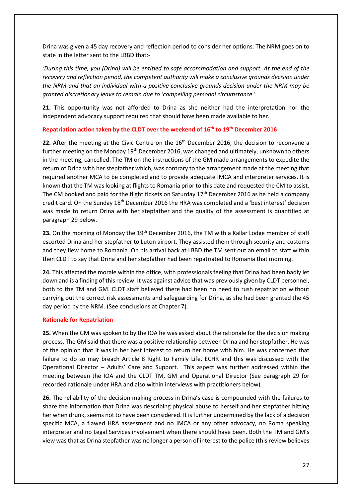Drina was given a 45 day recovery and reflection period to consider her options. The NRM goes on to state in the letter sent to the LBBD that:-

*'During this time, you (Drina) will be entitled to safe accommodation and support. At the end of the recovery and reflection period, the competent authority will make a conclusive grounds decision under the NRM and that an individual with a positive conclusive grounds decision under the NRM may be granted discretionary leave to remain due to 'compelling personal circumstance.*'

**21.** This opportunity was not afforded to Drina as she neither had the interpretation nor the independent advocacy support required that should have been made available to her.

# **Repatriation action taken by the CLDT over the weekend of 16th to 19th December 2016**

**22.** After the meeting at the Civic Centre on the 16<sup>th</sup> December 2016, the decision to reconvene a further meeting on the Monday 19<sup>th</sup> December 2016, was changed and ultimately, unknown to others in the meeting, cancelled. The TM on the instructions of the GM made arrangements to expedite the return of Drina with her stepfather which, was contrary to the arrangement made at the meeting that required another MCA to be completed and to provide adequate IMCA and interpreter services. It is known that the TM was looking at flights to Romania prior to this date and requested the CM to assist. The CM booked and paid for the flight tickets on Saturday  $17<sup>th</sup>$  December 2016 as he held a company credit card. On the Sunday 18th December 2016 the HRA was completed and a 'best interest' decision was made to return Drina with her stepfather and the quality of the assessment is quantified at paragraph 29 below.

23. On the morning of Monday the 19<sup>th</sup> December 2016, the TM with a Kallar Lodge member of staff escorted Drina and her stepfather to Luton airport. They assisted them through security and customs and they flew home to Romania. On his arrival back at LBBD the TM sent out an email to staff within then CLDT to say that Drina and her stepfather had been repatriated to Romania that morning.

**24.** This affected the morale within the office, with professionals feeling that Drina had been badly let down and is a finding of this review. It was against advice that was previously given by CLDT personnel, both to the TM and GM. CLDT staff believed there had been no need to rush repatriation without carrying out the correct risk assessments and safeguarding for Drina, as she had been granted the 45 day period by the NRM. (See conclusions at Chapter 7).

### **Rationale for Repatriation**

**25.** When the GM was spoken to by the IOA he was asked about the rationale for the decision making process. The GM said that there was a positive relationship between Drina and her stepfather. He was of the opinion that it was in her best interest to return her home with him. He was concerned that failure to do so may breach Article 8 Right to Family Life, ECHR and this was discussed with the Operational Director – Adults' Care and Support. This aspect was further addressed within the meeting between the IOA and the CLDT TM, GM and Operational Director (See paragraph 29 for recorded rationale under HRA and also within interviews with practitioners below).

**26.** The reliability of the decision making process in Drina's case is compounded with the failures to share the information that Drina was describing physical abuse to herself and her stepfather hitting her when drunk, seems not to have been considered. It is further undermined by the lack of a decision specific MCA, a flawed HRA assessment and no IMCA or any other advocacy, no Roma speaking interpreter and no Legal Services involvement when there should have been. Both the TM and GM's view was that as Drina stepfather was no longer a person of interest to the police (this review believes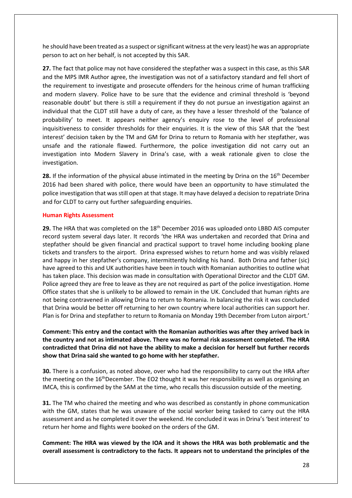he should have been treated as a suspect or significant witness at the very least) he was an appropriate person to act on her behalf, is not accepted by this SAR.

**27.** The fact that police may not have considered the stepfather was a suspect in this case, as this SAR and the MPS IMR Author agree, the investigation was not of a satisfactory standard and fell short of the requirement to investigate and prosecute offenders for the heinous crime of human trafficking and modern slavery. Police have to be sure that the evidence and criminal threshold is 'beyond reasonable doubt' but there is still a requirement if they do not pursue an investigation against an individual that the CLDT still have a duty of care, as they have a lesser threshold of the 'balance of probability' to meet. It appears neither agency's enquiry rose to the level of professional inquisitiveness to consider thresholds for their enquiries. It is the view of this SAR that the 'best interest' decision taken by the TM and GM for Drina to return to Romania with her stepfather, was unsafe and the rationale flawed. Furthermore, the police investigation did not carry out an investigation into Modern Slavery in Drina's case, with a weak rationale given to close the investigation.

**28.** If the information of the physical abuse intimated in the meeting by Drina on the 16<sup>th</sup> December 2016 had been shared with police, there would have been an opportunity to have stimulated the police investigation that was still open at that stage. It may have delayed a decision to repatriate Drina and for CLDT to carry out further safeguarding enquiries.

#### **Human Rights Assessment**

29. The HRA that was completed on the 18<sup>th</sup> December 2016 was uploaded onto LBBD AIS computer record system several days later. It records 'the HRA was undertaken and recorded that Drina and stepfather should be given financial and practical support to travel home including booking plane tickets and transfers to the airport. Drina expressed wishes to return home and was visibly relaxed and happy in her stepfather's company, intermittently holding his hand. Both Drina and father (sic) have agreed to this and UK authorities have been in touch with Romanian authorities to outline what has taken place. This decision was made in consultation with Operational Director and the CLDT GM. Police agreed they are free to leave as they are not required as part of the police investigation. Home Office states that she is unlikely to be allowed to remain in the UK. Concluded that human rights are not being contravened in allowing Drina to return to Romania. In balancing the risk it was concluded that Drina would be better off returning to her own country where local authorities can support her. Plan is for Drina and stepfather to return to Romania on Monday 19th December from Luton airport.'

### **Comment: This entry and the contact with the Romanian authorities was after they arrived back in the country and not as intimated above. There was no formal risk assessment completed. The HRA contradicted that Drina did not have the ability to make a decision for herself but further records show that Drina said she wanted to go home with her stepfather.**

**30.** There is a confusion, as noted above, over who had the responsibility to carry out the HRA after the meeting on the 16<sup>th</sup>December. The EO2 thought it was her responsibility as well as organising an IMCA, this is confirmed by the SAM at the time, who recalls this discussion outside of the meeting.

**31.** The TM who chaired the meeting and who was described as constantly in phone communication with the GM, states that he was unaware of the social worker being tasked to carry out the HRA assessment and as he completed it over the weekend. He concluded it was in Drina's 'best interest' to return her home and flights were booked on the orders of the GM.

**Comment: The HRA was viewed by the IOA and it shows the HRA was both problematic and the overall assessment is contradictory to the facts. It appears not to understand the principles of the**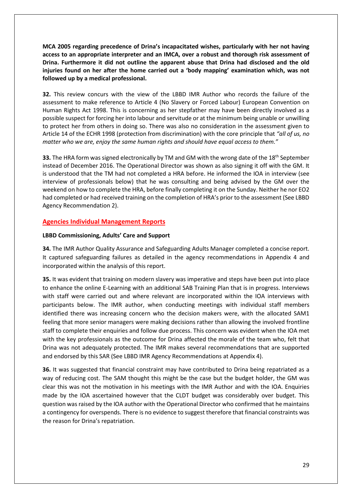**MCA 2005 regarding precedence of Drina's incapacitated wishes, particularly with her not having access to an appropriate interpreter and an IMCA, over a robust and thorough risk assessment of Drina. Furthermore it did not outline the apparent abuse that Drina had disclosed and the old injuries found on her after the home carried out a 'body mapping' examination which, was not followed up by a medical professional.**

**32.** This review concurs with the view of the LBBD IMR Author who records the failure of the assessment to make reference to Article 4 (No Slavery or Forced Labour) European Convention on Human Rights Act 1998. This is concerning as her stepfather may have been directly involved as a possible suspect for forcing her into labour and servitude or at the minimum being unable or unwilling to protect her from others in doing so. There was also no consideration in the assessment given to Article 14 of the ECHR 1998 (protection from discrimination) with the core principle that *"all of us, no matter who we are, enjoy the same human rights and should have equal access to them."*

**33.** The HRA form was signed electronically by TM and GM with the wrong date of the 18<sup>th</sup> September instead of December 2016. The Operational Director was shown as also signing it off with the GM. It is understood that the TM had not completed a HRA before. He informed the IOA in interview (see interview of professionals below) that he was consulting and being advised by the GM over the weekend on how to complete the HRA, before finally completing it on the Sunday. Neither he nor EO2 had completed or had received training on the completion of HRA's prior to the assessment (See LBBD Agency Recommendation 2).

# **Agencies Individual Management Reports**

### **LBBD Commissioning, Adults' Care and Support**

**34.** The IMR Author Quality Assurance and Safeguarding Adults Manager completed a concise report. It captured safeguarding failures as detailed in the agency recommendations in Appendix 4 and incorporated within the analysis of this report.

**35.** It was evident that training on modern slavery was imperative and steps have been put into place to enhance the online E-Learning with an additional SAB Training Plan that is in progress. Interviews with staff were carried out and where relevant are incorporated within the IOA interviews with participants below. The IMR author, when conducting meetings with individual staff members identified there was increasing concern who the decision makers were, with the allocated SAM1 feeling that more senior managers were making decisions rather than allowing the involved frontline staff to complete their enquiries and follow due process. This concern was evident when the IOA met with the key professionals as the outcome for Drina affected the morale of the team who, felt that Drina was not adequately protected. The IMR makes several recommendations that are supported and endorsed by this SAR (See LBBD IMR Agency Recommendations at Appendix 4).

**36.** It was suggested that financial constraint may have contributed to Drina being repatriated as a way of reducing cost. The SAM thought this might be the case but the budget holder, the GM was clear this was not the motivation in his meetings with the IMR Author and with the IOA. Enquiries made by the IOA ascertained however that the CLDT budget was considerably over budget. This question was raised by the IOA author with the Operational Director who confirmed that he maintains a contingency for overspends. There is no evidence to suggest therefore that financial constraints was the reason for Drina's repatriation.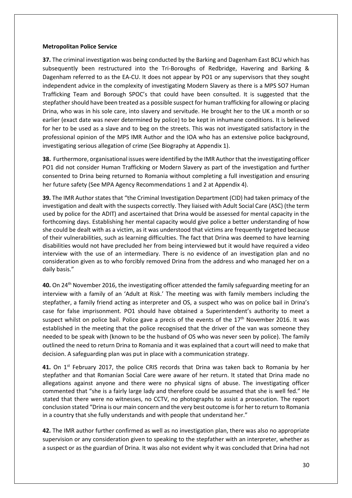### **Metropolitan Police Service**

**37.** The criminal investigation was being conducted by the Barking and Dagenham East BCU which has subsequently been restructured into the Tri-Boroughs of Redbridge, Havering and Barking & Dagenham referred to as the EA-CU. It does not appear by PO1 or any supervisors that they sought independent advice in the complexity of investigating Modern Slavery as there is a MPS SO7 Human Trafficking Team and Borough SPOC's that could have been consulted. It is suggested that the stepfather should have been treated as a possible suspect for human trafficking for allowing or placing Drina, who was in his sole care, into slavery and servitude. He brought her to the UK a month or so earlier (exact date was never determined by police) to be kept in inhumane conditions. It is believed for her to be used as a slave and to beg on the streets. This was not investigated satisfactory in the professional opinion of the MPS IMR Author and the IOA who has an extensive police background, investigating serious allegation of crime (See Biography at Appendix 1).

**38.** Furthermore, organisational issues were identified by the IMR Author that the investigating officer PO1 did not consider Human Trafficking or Modern Slavery as part of the investigation and further consented to Drina being returned to Romania without completing a full investigation and ensuring her future safety (See MPA Agency Recommendations 1 and 2 at Appendix 4).

**39.** The IMR Author states that "the Criminal Investigation Department (CID) had taken primacy of the investigation and dealt with the suspects correctly. They liaised with Adult Social Care (ASC) (the term used by police for the ADIT) and ascertained that Drina would be assessed for mental capacity in the forthcoming days. Establishing her mental capacity would give police a better understanding of how she could be dealt with as a victim, as it was understood that victims are frequently targeted because of their vulnerabilities, such as learning difficulties. The fact that Drina was deemed to have learning disabilities would not have precluded her from being interviewed but it would have required a video interview with the use of an intermediary. There is no evidence of an investigation plan and no consideration given as to who forcibly removed Drina from the address and who managed her on a daily basis."

**40.** On 24th November 2016, the investigating officer attended the family safeguarding meeting for an interview with a family of an 'Adult at Risk.' The meeting was with family members including the stepfather, a family friend acting as interpreter and OS, a suspect who was on police bail in Drina's case for false imprisonment. PO1 should have obtained a Superintendent's authority to meet a suspect whilst on police bail. Police gave a precis of the events of the 17<sup>th</sup> November 2016. It was established in the meeting that the police recognised that the driver of the van was someone they needed to be speak with (known to be the husband of OS who was never seen by police). The family outlined the need to return Drina to Romania and it was explained that a court will need to make that decision. A safeguarding plan was put in place with a communication strategy.

**41.** On 1<sup>st</sup> February 2017, the police CRIS records that Drina was taken back to Romania by her stepfather and that Romanian Social Care were aware of her return. It stated that Drina made no allegations against anyone and there were no physical signs of abuse. The investigating officer commented that "she is a fairly large lady and therefore could be assumed that she is well fed." He stated that there were no witnesses, no CCTV, no photographs to assist a prosecution. The report conclusion stated "Drina is our main concern and the very best outcome is for her to return to Romania in a country that she fully understands and with people that understand her."

**42.** The IMR author further confirmed as well as no investigation plan, there was also no appropriate supervision or any consideration given to speaking to the stepfather with an interpreter, whether as a suspect or as the guardian of Drina. It was also not evident why it was concluded that Drina had not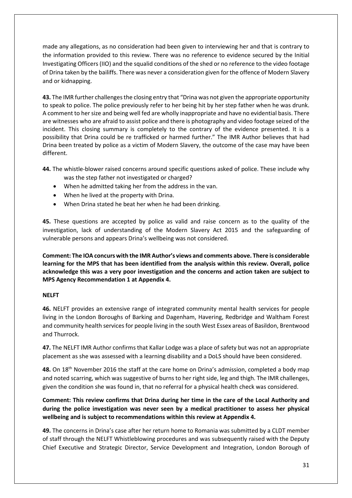made any allegations, as no consideration had been given to interviewing her and that is contrary to the information provided to this review. There was no reference to evidence secured by the Initial Investigating Officers (IIO) and the squalid conditions of the shed or no reference to the video footage of Drina taken by the bailiffs. There was never a consideration given for the offence of Modern Slavery and or kidnapping.

**43.** The IMR further challengesthe closing entry that "Drina was not given the appropriate opportunity to speak to police. The police previously refer to her being hit by her step father when he was drunk. A comment to her size and being well fed are wholly inappropriate and have no evidential basis. There are witnesses who are afraid to assist police and there is photography and video footage seized of the incident. This closing summary is completely to the contrary of the evidence presented. It is a possibility that Drina could be re trafficked or harmed further." The IMR Author believes that had Drina been treated by police as a victim of Modern Slavery, the outcome of the case may have been different.

- **44.** The whistle-blower raised concerns around specific questions asked of police. These include why was the step father not investigated or charged?
	- When he admitted taking her from the address in the van.
	- When he lived at the property with Drina.
	- When Drina stated he beat her when he had been drinking.

**45.** These questions are accepted by police as valid and raise concern as to the quality of the investigation, lack of understanding of the Modern Slavery Act 2015 and the safeguarding of vulnerable persons and appears Drina's wellbeing was not considered.

**Comment: The IOA concurs with the IMR Author's views and comments above. There is considerable learning for the MPS that has been identified from the analysis within this review. Overall, police acknowledge this was a very poor investigation and the concerns and action taken are subject to MPS Agency Recommendation 1 at Appendix 4.**

### **NELFT**

**46.** NELFT provides an extensive range of integrated community mental health services for people living in the London Boroughs of Barking and Dagenham, Havering, Redbridge and Waltham Forest and community health services for people living in the south West Essex areas of Basildon, Brentwood and Thurrock.

**47.** The NELFT IMR Author confirms that Kallar Lodge was a place of safety but was not an appropriate placement as she was assessed with a learning disability and a DoLS should have been considered.

48. On 18<sup>th</sup> November 2016 the staff at the care home on Drina's admission, completed a body map and noted scarring, which was suggestive of burns to her right side, leg and thigh. The IMR challenges, given the condition she was found in, that no referral for a physical health check was considered.

**Comment: This review confirms that Drina during her time in the care of the Local Authority and during the police investigation was never seen by a medical practitioner to assess her physical wellbeing and is subject to recommendations within this review at Appendix 4.**

**49.** The concerns in Drina's case after her return home to Romania was submitted by a CLDT member of staff through the NELFT Whistleblowing procedures and was subsequently raised with the Deputy Chief Executive and Strategic Director, Service Development and Integration, London Borough of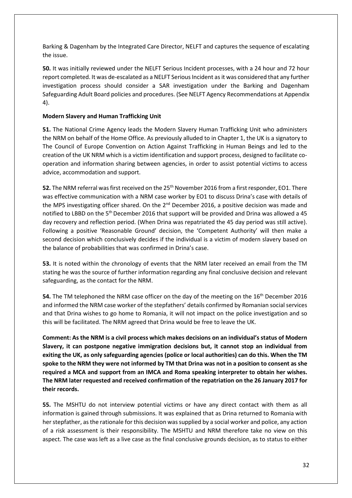Barking & Dagenham by the Integrated Care Director, NELFT and captures the sequence of escalating the issue.

**50.** It was initially reviewed under the NELFT Serious Incident processes, with a 24 hour and 72 hour report completed. It was de-escalated as a NELFT Serious Incident as it was considered that any further investigation process should consider a SAR investigation under the Barking and Dagenham Safeguarding Adult Board policies and procedures. (See NELFT Agency Recommendations at Appendix 4).

# **Modern Slavery and Human Trafficking Unit**

**51.** The National Crime Agency leads the Modern Slavery Human Trafficking Unit who administers the NRM on behalf of the Home Office. As previously alluded to in Chapter 1, the UK is a signatory to The Council of Europe Convention on Action Against Trafficking in Human Beings and led to the creation of the UK NRM which is a victim identification and support process, designed to facilitate cooperation and information sharing between agencies, in order to assist potential victims to access advice, accommodation and support.

**52.** The NRM referral was first received on the 25th November 2016 from a first responder, EO1. There was effective communication with a NRM case worker by EO1 to discuss Drina's case with details of the MPS investigating officer shared. On the 2<sup>nd</sup> December 2016, a positive decision was made and notified to LBBD on the 5<sup>th</sup> December 2016 that support will be provided and Drina was allowed a 45 day recovery and reflection period. (When Drina was repatriated the 45 day period was still active). Following a positive 'Reasonable Ground' decision, the 'Competent Authority' will then make a second decision which conclusively decides if the individual is a victim of modern slavery based on the balance of probabilities that was confirmed in Drina's case.

**53.** It is noted within the chronology of events that the NRM later received an email from the TM stating he was the source of further information regarding any final conclusive decision and relevant safeguarding, as the contact for the NRM.

**54.** The TM telephoned the NRM case officer on the day of the meeting on the 16<sup>th</sup> December 2016 and informed the NRM case worker of the stepfathers' details confirmed by Romanian social services and that Drina wishes to go home to Romania, it will not impact on the police investigation and so this will be facilitated. The NRM agreed that Drina would be free to leave the UK.

**Comment: As the NRM is a civil process which makes decisions on an individual's status of Modern Slavery, it can postpone negative immigration decisions but, it cannot stop an individual from exiting the UK, as only safeguarding agencies (police or local authorities) can do this. When the TM spoke to the NRM they were not informed by TM that Drina was not in a position to consent as she required a MCA and support from an IMCA and Roma speaking interpreter to obtain her wishes. The NRM later requested and received confirmation of the repatriation on the 26 January 2017 for their records.**

**55.** The MSHTU do not interview potential victims or have any direct contact with them as all information is gained through submissions. It was explained that as Drina returned to Romania with her stepfather, as the rationale for this decision was supplied by a social worker and police, any action of a risk assessment is their responsibility. The MSHTU and NRM therefore take no view on this aspect. The case was left as a live case as the final conclusive grounds decision, as to status to either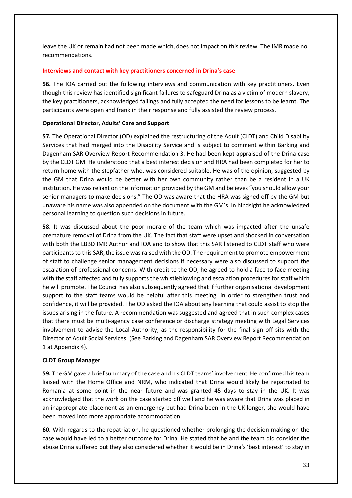leave the UK or remain had not been made which, does not impact on this review. The IMR made no recommendations.

### **Interviews and contact with key practitioners concerned in Drina's case**

**56.** The IOA carried out the following interviews and communication with key practitioners. Even though this review has identified significant failures to safeguard Drina as a victim of modern slavery, the key practitioners, acknowledged failings and fully accepted the need for lessons to be learnt. The participants were open and frank in their response and fully assisted the review process.

# **Operational Director, Adults' Care and Support**

**57.** The Operational Director (OD) explained the restructuring of the Adult (CLDT) and Child Disability Services that had merged into the Disability Service and is subject to comment within Barking and Dagenham SAR Overview Report Recommendation 3. He had been kept appraised of the Drina case by the CLDT GM. He understood that a best interest decision and HRA had been completed for her to return home with the stepfather who, was considered suitable. He was of the opinion, suggested by the GM that Drina would be better with her own community rather than be a resident in a UK institution. He was reliant on the information provided by the GM and believes "you should allow your senior managers to make decisions." The OD was aware that the HRA was signed off by the GM but unaware his name was also appended on the document with the GM's. In hindsight he acknowledged personal learning to question such decisions in future.

**58.** It was discussed about the poor morale of the team which was impacted after the unsafe premature removal of Drina from the UK. The fact that staff were upset and shocked in conversation with both the LBBD IMR Author and IOA and to show that this SAR listened to CLDT staff who were participants to this SAR, the issue wasraised with the OD. The requirement to promote empowerment of staff to challenge senior management decisions if necessary were also discussed to support the escalation of professional concerns. With credit to the OD, he agreed to hold a face to face meeting with the staff affected and fully supports the whistleblowing and escalation procedures for staff which he will promote. The Council has also subsequently agreed that if further organisational development support to the staff teams would be helpful after this meeting, in order to strengthen trust and confidence, it will be provided. The OD asked the IOA about any learning that could assist to stop the issues arising in the future. A recommendation was suggested and agreed that in such complex cases that there must be multi-agency case conference or discharge strategy meeting with Legal Services involvement to advise the Local Authority, as the responsibility for the final sign off sits with the Director of Adult Social Services. (See Barking and Dagenham SAR Overview Report Recommendation 1 at Appendix 4).

# **CLDT Group Manager**

**59.** The GM gave a brief summary of the case and his CLDT teams' involvement. He confirmed his team liaised with the Home Office and NRM, who indicated that Drina would likely be repatriated to Romania at some point in the near future and was granted 45 days to stay in the UK. It was acknowledged that the work on the case started off well and he was aware that Drina was placed in an inappropriate placement as an emergency but had Drina been in the UK longer, she would have been moved into more appropriate accommodation.

**60.** With regards to the repatriation, he questioned whether prolonging the decision making on the case would have led to a better outcome for Drina. He stated that he and the team did consider the abuse Drina suffered but they also considered whether it would be in Drina's 'best interest' to stay in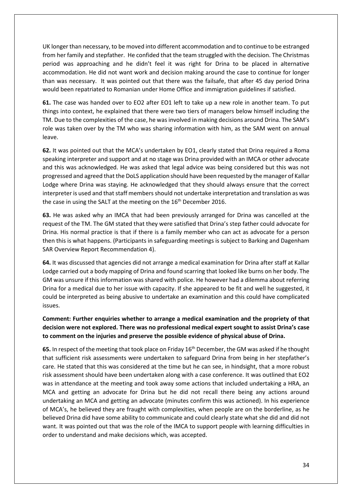UK longer than necessary, to be moved into different accommodation and to continue to be estranged from her family and stepfather. He confided that the team struggled with the decision. The Christmas period was approaching and he didn't feel it was right for Drina to be placed in alternative accommodation. He did not want work and decision making around the case to continue for longer than was necessary. It was pointed out that there was the failsafe, that after 45 day period Drina would been repatriated to Romanian under Home Office and immigration guidelines if satisfied.

**61.** The case was handed over to EO2 after EO1 left to take up a new role in another team. To put things into context, he explained that there were two tiers of managers below himself including the TM. Due to the complexities of the case, he was involved in making decisions around Drina. The SAM's role was taken over by the TM who was sharing information with him, as the SAM went on annual leave.

**62.** It was pointed out that the MCA's undertaken by EO1, clearly stated that Drina required a Roma speaking interpreter and support and at no stage was Drina provided with an IMCA or other advocate and this was acknowledged. He was asked that legal advice was being considered but this was not progressed and agreed that the DoLS application should have been requested by the manager of Kallar Lodge where Drina was staying. He acknowledged that they should always ensure that the correct interpreter is used and that staff members should not undertake interpretation and translation as was the case in using the SALT at the meeting on the  $16<sup>th</sup>$  December 2016.

**63.** He was asked why an IMCA that had been previously arranged for Drina was cancelled at the request of the TM. The GM stated that they were satisfied that Drina's step father could advocate for Drina. His normal practice is that if there is a family member who can act as advocate for a person then this is what happens. (Participants in safeguarding meetings is subject to Barking and Dagenham SAR Overview Report Recommendation 4).

**64.** It was discussed that agencies did not arrange a medical examination for Drina after staff at Kallar Lodge carried out a body mapping of Drina and found scarring that looked like burns on her body. The GM was unsure if this information was shared with police. He however had a dilemma about referring Drina for a medical due to her issue with capacity. If she appeared to be fit and well he suggested, it could be interpreted as being abusive to undertake an examination and this could have complicated issues.

# **Comment: Further enquiries whether to arrange a medical examination and the propriety of that decision were not explored. There was no professional medical expert sought to assist Drina's case to comment on the injuries and preserve the possible evidence of physical abuse of Drina.**

**65.** In respect of the meeting that took place on Friday 16th December, the GM was asked if he thought that sufficient risk assessments were undertaken to safeguard Drina from being in her stepfather's care. He stated that this was considered at the time but he can see, in hindsight, that a more robust risk assessment should have been undertaken along with a case conference. It was outlined that EO2 was in attendance at the meeting and took away some actions that included undertaking a HRA, an MCA and getting an advocate for Drina but he did not recall there being any actions around undertaking an MCA and getting an advocate (minutes confirm this was actioned). In his experience of MCA's, he believed they are fraught with complexities, when people are on the borderline, as he believed Drina did have some ability to communicate and could clearly state what she did and did not want. It was pointed out that was the role of the IMCA to support people with learning difficulties in order to understand and make decisions which, was accepted.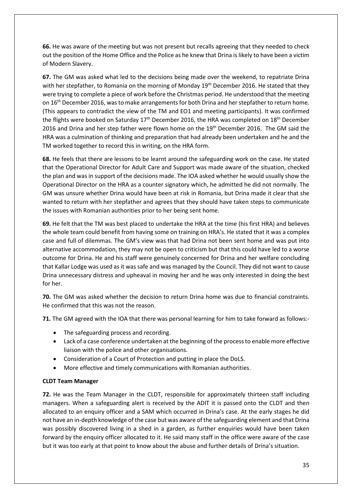**66.** He was aware of the meeting but was not present but recalls agreeing that they needed to check out the position of the Home Office and the Police as he knew that Drina is likely to have been a victim of Modern Slavery.

**67.** The GM was asked what led to the decisions being made over the weekend, to repatriate Drina with her stepfather, to Romania on the morning of Monday 19<sup>th</sup> December 2016. He stated that they were trying to complete a piece of work before the Christmas period. He understood that the meeting on 16th December 2016, was to make arrangements for both Drina and her stepfather to return home. (This appears to contradict the view of the TM and EO1 and meeting participants). It was confirmed the flights were booked on Saturday  $17<sup>th</sup>$  December 2016, the HRA was completed on  $18<sup>th</sup>$  December 2016 and Drina and her step father were flown home on the 19<sup>th</sup> December 2016. The GM said the HRA was a culmination of thinking and preparation that had already been undertaken and he and the TM worked together to record this in writing, on the HRA form.

**68.** He feels that there are lessons to be learnt around the safeguarding work on the case. He stated that the Operational Director for Adult Care and Support was made aware of the situation, checked the plan and was in support of the decisions made. The IOA asked whether he would usually show the Operational Director on the HRA as a counter signatory which, he admitted he did not normally. The GM was unsure whether Drina would have been at risk in Romania, but Drina made it clear that she wanted to return with her stepfather and agrees that they should have taken steps to communicate the issues with Romanian authorities prior to her being sent home.

**69.** He felt that the TM was best placed to undertake the HRA at the time (his first HRA) and believes the whole team could benefit from having some on training on HRA's. He stated that it was a complex case and full of dilemmas. The GM's view was that had Drina not been sent home and was put into alternative accommodation, they may not be open to criticism but that this could have led to a worse outcome for Drina. He and his staff were genuinely concerned for Drina and her welfare concluding that Kallar Lodge was used as it was safe and was managed by the Council. They did not want to cause Drina unnecessary distress and upheaval in moving her and he was only interested in doing the best for her.

**70.** The GM was asked whether the decision to return Drina home was due to financial constraints. He confirmed that this was not the reason.

**71.** The GM agreed with the IOA that there was personal learning for him to take forward as follows:-

- The safeguarding process and recording.
- Lack of a case conference undertaken at the beginning of the process to enable more effective liaison with the police and other organisations.
- Consideration of a Court of Protection and putting in place the DoLS.
- More effective and timely communications with Romanian authorities.

# **CLDT Team Manager**

**72.** He was the Team Manager in the CLDT, responsible for approximately thirteen staff including managers. When a safeguarding alert is received by the ADIT it is passed onto the CLDT and then allocated to an enquiry officer and a SAM which occurred in Drina's case. At the early stages he did not have an in-depth knowledge of the case but was aware of the safeguarding element and that Drina was possibly discovered living in a shed in a garden, as further enquiries would have been taken forward by the enquiry officer allocated to it. He said many staff in the office were aware of the case but it was too early at that point to know about the abuse and further details of Drina's situation.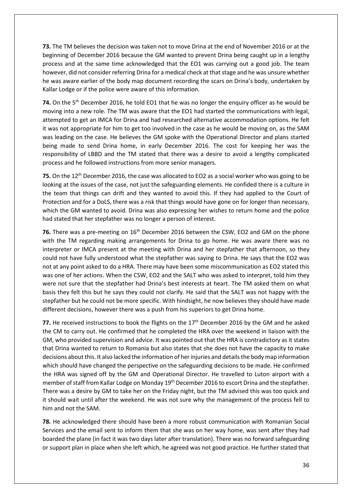**73.** The TM believes the decision was taken not to move Drina at the end of November 2016 or at the beginning of December 2016 because the GM wanted to prevent Drina being caught up in a lengthy process and at the same time acknowledged that the EO1 was carrying out a good job. The team however, did not consider referring Drina for a medical check at that stage and he was unsure whether he was aware earlier of the body map document recording the scars on Drina's body, undertaken by Kallar Lodge or if the police were aware of this information.

74. On the 5<sup>th</sup> December 2016, he told EO1 that he was no longer the enquiry officer as he would be moving into a new role. The TM was aware that the EO1 had started the communications with legal, attempted to get an IMCA for Drina and had researched alternative accommodation options. He felt it was not appropriate for him to get too involved in the case as he would be moving on, as the SAM was leading on the case. He believes the GM spoke with the Operational Director and plans started being made to send Drina home, in early December 2016. The cost for keeping her was the responsibility of LBBD and the TM stated that there was a desire to avoid a lengthy complicated process and he followed instructions from more senior managers.

**75.** On the 12<sup>th</sup> December 2016, the case was allocated to EO2 as a social worker who was going to be looking at the issues of the case, not just the safeguarding elements. He confided there is a culture in the team that things can drift and they wanted to avoid this. If they had applied to the Court of Protection and for a DoLS, there was a risk that things would have gone on for longer than necessary, which the GM wanted to avoid. Drina was also expressing her wishes to return home and the police had stated that her stepfather was no longer a person of interest.

76. There was a pre-meeting on 16<sup>th</sup> December 2016 between the CSW, EO2 and GM on the phone with the TM regarding making arrangements for Drina to go home. He was aware there was no interpreter or IMCA present at the meeting with Drina and her stepfather that afternoon, so they could not have fully understood what the stepfather was saying to Drina. He says that the EO2 was not at any point asked to do a HRA. There may have been some miscommunication as EO2 stated this was one of her actions. When the CSW, EO2 and the SALT who was asked to interpret, told him they were not sure that the stepfather had Drina's best interests at heart. The TM asked them on what basis they felt this but he says they could not clarify. He said that the SALT was not happy with the stepfather but he could not be more specific. With hindsight, he now believes they should have made different decisions, however there was a push from his superiors to get Drina home.

77. He received instructions to book the flights on the 17<sup>th</sup> December 2016 by the GM and he asked the CM to carry out. He confirmed that he completed the HRA over the weekend in liaison with the GM, who provided supervision and advice. It was pointed out that the HRA is contradictory as it states that Drina wanted to return to Romania but also states that she does not have the capacity to make decisions about this. It also lacked the information of her injuries and detailsthe body map information which should have changed the perspective on the safeguarding decisions to be made. He confirmed the HRA was signed off by the GM and Operational Director. He travelled to Luton airport with a member of staff from Kallar Lodge on Monday 19<sup>th</sup> December 2016 to escort Drina and the stepfather. There was a desire by GM to take her on the Friday night, but the TM advised this was too quick and it should wait until after the weekend. He was not sure why the management of the process fell to him and not the SAM.

**78.** He acknowledged there should have been a more robust communication with Romanian Social Services and the email sent to inform them that she was on her way home, was sent after they had boarded the plane (in fact it was two days later after translation). There was no forward safeguarding or support plan in place when she left which, he agreed was not good practice. He further stated that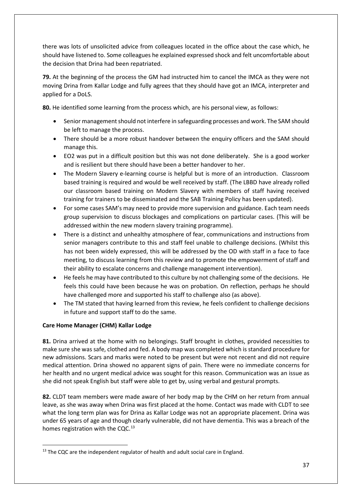there was lots of unsolicited advice from colleagues located in the office about the case which, he should have listened to. Some colleagues he explained expressed shock and felt uncomfortable about the decision that Drina had been repatriated.

**79.** At the beginning of the process the GM had instructed him to cancel the IMCA as they were not moving Drina from Kallar Lodge and fully agrees that they should have got an IMCA, interpreter and applied for a DoLS.

**80.** He identified some learning from the process which, are his personal view, as follows:

- Senior management should not interfere in safeguarding processes and work. The SAM should be left to manage the process.
- There should be a more robust handover between the enquiry officers and the SAM should manage this.
- EO2 was put in a difficult position but this was not done deliberately. She is a good worker and is resilient but there should have been a better handover to her.
- The Modern Slavery e-learning course is helpful but is more of an introduction. Classroom based training is required and would be well received by staff. (The LBBD have already rolled our classroom based training on Modern Slavery with members of staff having received training for trainers to be disseminated and the SAB Training Policy has been updated).
- For some cases SAM's may need to provide more supervision and guidance. Each team needs group supervision to discuss blockages and complications on particular cases. (This will be addressed within the new modern slavery training programme).
- There is a distinct and unhealthy atmosphere of fear, communications and instructions from senior managers contribute to this and staff feel unable to challenge decisions. (Whilst this has not been widely expressed, this will be addressed by the OD with staff in a face to face meeting, to discuss learning from this review and to promote the empowerment of staff and their ability to escalate concerns and challenge management intervention).
- He feels he may have contributed to this culture by not challenging some of the decisions. He feels this could have been because he was on probation. On reflection, perhaps he should have challenged more and supported his staff to challenge also (as above).
- The TM stated that having learned from this review, he feels confident to challenge decisions in future and support staff to do the same.

# **Care Home Manager (CHM) Kallar Lodge**

**81.** Drina arrived at the home with no belongings. Staff brought in clothes, provided necessities to make sure she was safe, clothed and fed. A body map was completed which is standard procedure for new admissions. Scars and marks were noted to be present but were not recent and did not require medical attention. Drina showed no apparent signs of pain. There were no immediate concerns for her health and no urgent medical advice was sought for this reason. Communication was an issue as she did not speak English but staff were able to get by, using verbal and gestural prompts.

**82.** CLDT team members were made aware of her body map by the CHM on her return from annual leave, as she was away when Drina was first placed at the home. Contact was made with CLDT to see what the long term plan was for Drina as Kallar Lodge was not an appropriate placement. Drina was under 65 years of age and though clearly vulnerable, did not have dementia. This was a breach of the homes registration with the CQC. $^{13}$  $^{13}$  $^{13}$ 

<span id="page-36-0"></span> $13$  The CQC are the independent regulator of health and adult social care in England.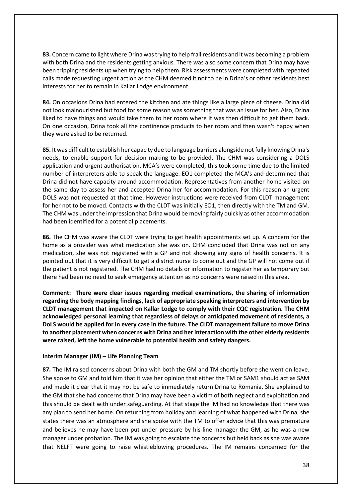**83.** Concern came to light where Drina was trying to help frail residents and it was becoming a problem with both Drina and the residents getting anxious. There was also some concern that Drina may have been tripping residents up when trying to help them. Risk assessments were completed with repeated calls made requesting urgent action as the CHM deemed it not to be in Drina's or other residents best interests for her to remain in Kallar Lodge environment.

**84.** On occasions Drina had entered the kitchen and ate things like a large piece of cheese. Drina did not look malnourished but food for some reason was something that was an issue for her. Also, Drina liked to have things and would take them to her room where it was then difficult to get them back. On one occasion, Drina took all the continence products to her room and then wasn't happy when they were asked to be returned.

**85.** It was difficult to establish her capacity due to language barriers alongside not fully knowing Drina's needs, to enable support for decision making to be provided. The CHM was considering a DOLS application and urgent authorisation. MCA's were completed, this took some time due to the limited number of interpreters able to speak the language. EO1 completed the MCA's and determined that Drina did not have capacity around accommodation. Representatives from another home visited on the same day to assess her and accepted Drina her for accommodation. For this reason an urgent DOLS was not requested at that time. However instructions were received from CLDT management for her not to be moved. Contacts with the CLDT was initially EO1, then directly with the TM and GM. The CHM was under the impression that Drina would be moving fairly quickly as other accommodation had been identified for a potential placements.

**86.** The CHM was aware the CLDT were trying to get health appointments set up. A concern for the home as a provider was what medication she was on. CHM concluded that Drina was not on any medication, she was not registered with a GP and not showing any signs of health concerns. It is pointed out that it is very difficult to get a district nurse to come out and the GP will not come out if the patient is not registered. The CHM had no details or information to register her as temporary but there had been no need to seek emergency attention as no concerns were raised in this area.

**Comment: There were clear issues regarding medical examinations, the sharing of information regarding the body mapping findings, lack of appropriate speaking interpreters and intervention by CLDT management that impacted on Kallar Lodge to comply with their CQC registration. The CHM acknowledged personal learning that regardless of delays or anticipated movement of residents, a DoLS would be applied for in every case in the future. The CLDT management failure to move Drina to another placement when concerns with Drina and her interaction with the other elderly residents were raised, left the home vulnerable to potential health and safety dangers.** 

### **Interim Manager (IM) – Life Planning Team**

**87.** The IM raised concerns about Drina with both the GM and TM shortly before she went on leave. She spoke to GM and told him that it was her opinion that either the TM or SAM1 should act as SAM and made it clear that it may not be safe to immediately return Drina to Romania. She explained to the GM that she had concerns that Drina may have been a victim of both neglect and exploitation and this should be dealt with under safeguarding. At that stage the IM had no knowledge that there was any plan to send her home. On returning from holiday and learning of what happened with Drina, she states there was an atmosphere and she spoke with the TM to offer advice that this was premature and believes he may have been put under pressure by his line manager the GM, as he was a new manager under probation. The IM was going to escalate the concerns but held back as she was aware that NELFT were going to raise whistleblowing procedures. The IM remains concerned for the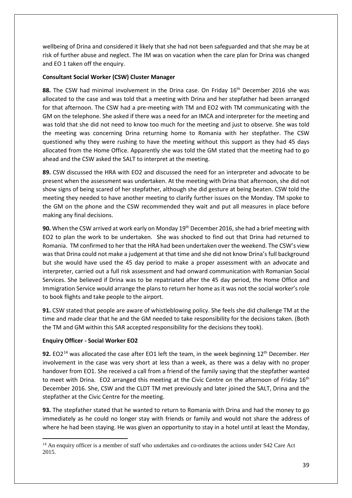wellbeing of Drina and considered it likely that she had not been safeguarded and that she may be at risk of further abuse and neglect. The IM was on vacation when the care plan for Drina was changed and EO 1 taken off the enquiry.

# **Consultant Social Worker (CSW) Cluster Manager**

88. The CSW had minimal involvement in the Drina case. On Friday 16<sup>th</sup> December 2016 she was allocated to the case and was told that a meeting with Drina and her stepfather had been arranged for that afternoon. The CSW had a pre-meeting with TM and EO2 with TM communicating with the GM on the telephone. She asked if there was a need for an IMCA and interpreter for the meeting and was told that she did not need to know too much for the meeting and just to observe. She was told the meeting was concerning Drina returning home to Romania with her stepfather. The CSW questioned why they were rushing to have the meeting without this support as they had 45 days allocated from the Home Office. Apparently she was told the GM stated that the meeting had to go ahead and the CSW asked the SALT to interpret at the meeting.

**89.** CSW discussed the HRA with EO2 and discussed the need for an interpreter and advocate to be present when the assessment was undertaken. At the meeting with Drina that afternoon, she did not show signs of being scared of her stepfather, although she did gesture at being beaten. CSW told the meeting they needed to have another meeting to clarify further issues on the Monday. TM spoke to the GM on the phone and the CSW recommended they wait and put all measures in place before making any final decisions.

**90.** When the CSW arrived at work early on Monday 19<sup>th</sup> December 2016, she had a brief meeting with EO2 to plan the work to be undertaken. She was shocked to find out that Drina had returned to Romania. TM confirmed to her that the HRA had been undertaken over the weekend. The CSW's view was that Drina could not make a judgement at that time and she did not know Drina's full background but she would have used the 45 day period to make a proper assessment with an advocate and interpreter, carried out a full risk assessment and had onward communication with Romanian Social Services. She believed if Drina was to be repatriated after the 45 day period, the Home Office and Immigration Service would arrange the plans to return her home as it was not the social worker's role to book flights and take people to the airport.

**91.** CSW stated that people are aware of whistleblowing policy. She feels she did challenge TM at the time and made clear that he and the GM needed to take responsibility for the decisions taken. (Both the TM and GM within this SAR accepted responsibility for the decisions they took).

# **Enquiry Officer - Social Worker EO2**

 $\overline{\phantom{a}}$ 

**92.** EO2<sup>[14](#page-38-0)</sup> was allocated the case after EO1 left the team, in the week beginning 12<sup>th</sup> December. Her involvement in the case was very short at less than a week, as there was a delay with no proper handover from EO1. She received a call from a friend of the family saying that the stepfather wanted to meet with Drina. EO2 arranged this meeting at the Civic Centre on the afternoon of Friday 16<sup>th</sup> December 2016. She, CSW and the CLDT TM met previously and later joined the SALT, Drina and the stepfather at the Civic Centre for the meeting.

**93.** The stepfather stated that he wanted to return to Romania with Drina and had the money to go immediately as he could no longer stay with friends or family and would not share the address of where he had been staying. He was given an opportunity to stay in a hotel until at least the Monday,

<span id="page-38-0"></span><sup>&</sup>lt;sup>14</sup> An enquiry officer is a member of staff who undertakes and co-ordinates the actions under S42 Care Act 2015.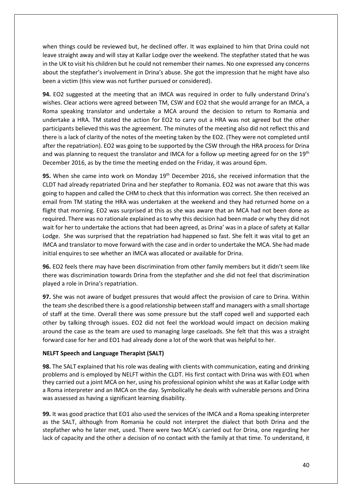when things could be reviewed but, he declined offer. It was explained to him that Drina could not leave straight away and will stay at Kallar Lodge over the weekend. The stepfather stated that he was in the UK to visit his children but he could not remember their names. No one expressed any concerns about the stepfather's involvement in Drina's abuse. She got the impression that he might have also been a victim (this view was not further pursued or considered).

**94.** EO2 suggested at the meeting that an IMCA was required in order to fully understand Drina's wishes. Clear actions were agreed between TM, CSW and EO2 that she would arrange for an IMCA, a Roma speaking translator and undertake a MCA around the decision to return to Romania and undertake a HRA. TM stated the action for EO2 to carry out a HRA was not agreed but the other participants believed this was the agreement. The minutes of the meeting also did not reflect this and there is a lack of clarity of the notes of the meeting taken by the EO2. (They were not completed until after the repatriation). EO2 was going to be supported by the CSW through the HRA process for Drina and was planning to request the translator and IMCA for a follow up meeting agreed for on the 19<sup>th</sup> December 2016, as by the time the meeting ended on the Friday, it was around 6pm.

**95.** When she came into work on Monday 19<sup>th</sup> December 2016, she received information that the CLDT had already repatriated Drina and her stepfather to Romania. EO2 was not aware that this was going to happen and called the CHM to check that this information was correct. She then received an email from TM stating the HRA was undertaken at the weekend and they had returned home on a flight that morning. EO2 was surprised at this as she was aware that an MCA had not been done as required. There was no rationale explained as to why this decision had been made or why they did not wait for her to undertake the actions that had been agreed, as Drina' was in a place of safety at Kallar Lodge. She was surprised that the repatriation had happened so fast. She felt it was vital to get an IMCA and translator to move forward with the case and in order to undertake the MCA. She had made initial enquires to see whether an IMCA was allocated or available for Drina.

**96.** EO2 feels there may have been discrimination from other family members but it didn't seem like there was discrimination towards Drina from the stepfather and she did not feel that discrimination played a role in Drina's repatriation.

**97.** She was not aware of budget pressures that would affect the provision of care to Drina. Within the team she described there is a good relationship between staff and managers with a small shortage of staff at the time. Overall there was some pressure but the staff coped well and supported each other by talking through issues. EO2 did not feel the workload would impact on decision making around the case as the team are used to managing large caseloads. She felt that this was a straight forward case for her and EO1 had already done a lot of the work that was helpful to her.

# **NELFT Speech and Language Therapist (SALT)**

**98.** The SALT explained that his role was dealing with clients with communication, eating and drinking problems and is employed by NELFT within the CLDT. His first contact with Drina was with EO1 when they carried out a joint MCA on her, using his professional opinion whilst she was at Kallar Lodge with a Roma interpreter and an IMCA on the day. Symbolically he deals with vulnerable persons and Drina was assessed as having a significant learning disability.

**99.** It was good practice that EO1 also used the services of the IMCA and a Roma speaking interpreter as the SALT, although from Romania he could not interpret the dialect that both Drina and the stepfather who he later met, used. There were two MCA's carried out for Drina, one regarding her lack of capacity and the other a decision of no contact with the family at that time. To understand, it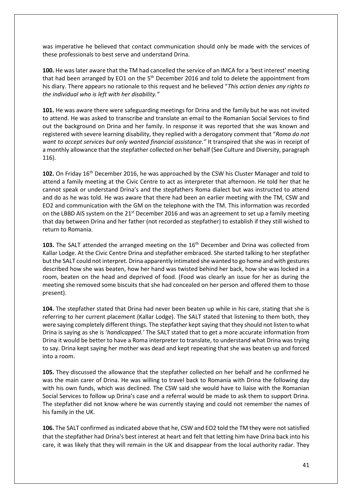was imperative he believed that contact communication should only be made with the services of these professionals to best serve and understand Drina.

**100.** He was later aware that the TM had cancelled the service of an IMCA for a 'best interest' meeting that had been arranged by EO1 on the 5<sup>th</sup> December 2016 and told to delete the appointment from his diary. There appears no rationale to this request and he believed "*This action denies any rights to the individual who is left with her disability."*

**101.** He was aware there were safeguarding meetings for Drina and the family but he was not invited to attend. He was asked to transcribe and translate an email to the Romanian Social Services to find out the background on Drina and her family. In response it was reported that she was known and registered with severe learning disability, they replied with a derogatory comment that "*Roma do not want to accept services but only wanted financial assistance."* It transpired that she was in receipt of a monthly allowance that the stepfather collected on her behalf (See Culture and Diversity, paragraph 116).

**102.** On Friday 16th December 2016, he was approached by the CSW his Cluster Manager and told to attend a family meeting at the Civic Centre to act as interpreter that afternoon. He told her that he cannot speak or understand Drina's and the stepfathers Roma dialect but was instructed to attend and do as he was told. He was aware that there had been an earlier meeting with the TM, CSW and EO2 and communication with the GM on the telephone with the TM. This information was recorded on the LBBD AIS system on the 21<sup>st</sup> December 2016 and was an agreement to set up a family meeting that day between Drina and her father (not recorded as stepfather) to establish if they still wished to return to Romania.

103. The SALT attended the arranged meeting on the 16<sup>th</sup> December and Drina was collected from Kallar Lodge. At the Civic Centre Drina and stepfather embraced. She started talking to her stepfather but the SALT could not interpret. Drina apparently intimated she wanted to go home and with gestures described how she was beaten, how her hand was twisted behind her back, how she was locked in a room, beaten on the head and deprived of food. (Food was clearly an issue for her as during the meeting she removed some biscuits that she had concealed on her person and offered them to those present).

**104.** The stepfather stated that Drina had never been beaten up while in his care, stating that she is referring to her current placement (Kallar Lodge). The SALT stated that listening to them both, they were saying completely different things. The stepfather kept saying that they should not listen to what Drina is saying as she is '*handicapped.'* The SALT stated that to get a more accurate information from Drina it would be better to have a Roma interpreter to translate, to understand what Drina was trying to say. Drina kept saying her mother was dead and kept repeating that she was beaten up and forced into a room.

**105.** They discussed the allowance that the stepfather collected on her behalf and he confirmed he was the main carer of Drina. He was willing to travel back to Romania with Drina the following day with his own funds, which was declined. The CSW said she would have to liaise with the Romanian Social Services to follow up Drina's case and a referral would be made to ask them to support Drina. The stepfather did not know where he was currently staying and could not remember the names of his family in the UK.

**106.** The SALT confirmed as indicated above that he, CSW and EO2 told the TM they were not satisfied that the stepfather had Drina's best interest at heart and felt that letting him have Drina back into his care, it was likely that they will remain in the UK and disappear from the local authority radar. They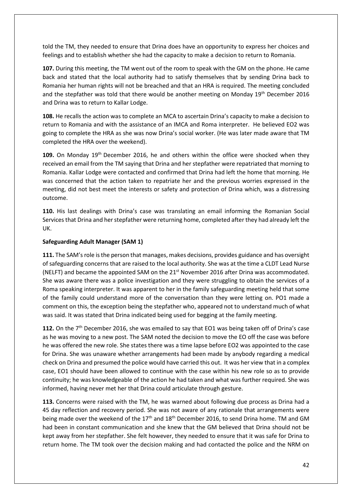told the TM, they needed to ensure that Drina does have an opportunity to express her choices and feelings and to establish whether she had the capacity to make a decision to return to Romania.

**107.** During this meeting, the TM went out of the room to speak with the GM on the phone. He came back and stated that the local authority had to satisfy themselves that by sending Drina back to Romania her human rights will not be breached and that an HRA is required. The meeting concluded and the stepfather was told that there would be another meeting on Monday 19th December 2016 and Drina was to return to Kallar Lodge.

**108.** He recalls the action was to complete an MCA to ascertain Drina's capacity to make a decision to return to Romania and with the assistance of an IMCA and Roma interpreter. He believed EO2 was going to complete the HRA as she was now Drina's social worker. (He was later made aware that TM completed the HRA over the weekend).

**109.** On Monday 19th December 2016, he and others within the office were shocked when they received an email from the TM saying that Drina and her stepfather were repatriated that morning to Romania. Kallar Lodge were contacted and confirmed that Drina had left the home that morning. He was concerned that the action taken to repatriate her and the previous worries expressed in the meeting, did not best meet the interests or safety and protection of Drina which, was a distressing outcome.

**110.** His last dealings with Drina's case was translating an email informing the Romanian Social Services that Drina and her stepfather were returning home, completed after they had already left the UK.

# **Safeguarding Adult Manager (SAM 1)**

**111.** The SAM's role is the person that manages, makes decisions, provides guidance and has oversight of safeguarding concerns that are raised to the local authority. She was at the time a CLDT Lead Nurse (NELFT) and became the appointed SAM on the  $21<sup>st</sup>$  November 2016 after Drina was accommodated. She was aware there was a police investigation and they were struggling to obtain the services of a Roma speaking interpreter. It was apparent to her in the family safeguarding meeting held that some of the family could understand more of the conversation than they were letting on. PO1 made a comment on this, the exception being the stepfather who, appeared not to understand much of what was said. It was stated that Drina indicated being used for begging at the family meeting.

**112.** On the 7th December 2016, she was emailed to say that EO1 was being taken off of Drina's case as he was moving to a new post. The SAM noted the decision to move the EO off the case was before he was offered the new role. She states there was a time lapse before EO2 was appointed to the case for Drina. She was unaware whether arrangements had been made by anybody regarding a medical check on Drina and presumed the police would have carried this out. It was her view that in a complex case, EO1 should have been allowed to continue with the case within his new role so as to provide continuity; he was knowledgeable of the action he had taken and what was further required. She was informed, having never met her that Drina could articulate through gesture.

**113.** Concerns were raised with the TM, he was warned about following due process as Drina had a 45 day reflection and recovery period. She was not aware of any rationale that arrangements were being made over the weekend of the 17<sup>th</sup> and 18<sup>th</sup> December 2016, to send Drina home. TM and GM had been in constant communication and she knew that the GM believed that Drina should not be kept away from her stepfather. She felt however, they needed to ensure that it was safe for Drina to return home. The TM took over the decision making and had contacted the police and the NRM on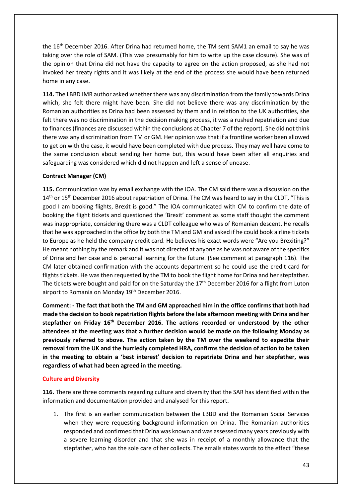the 16<sup>th</sup> December 2016. After Drina had returned home, the TM sent SAM1 an email to say he was taking over the role of SAM. (This was presumably for him to write up the case closure). She was of the opinion that Drina did not have the capacity to agree on the action proposed, as she had not invoked her treaty rights and it was likely at the end of the process she would have been returned home in any case.

**114.** The LBBD IMR author asked whether there was any discrimination from the family towards Drina which, she felt there might have been. She did not believe there was any discrimination by the Romanian authorities as Drina had been assessed by them and in relation to the UK authorities, she felt there was no discrimination in the decision making process, it was a rushed repatriation and due to finances (finances are discussed within the conclusions at Chapter 7 of the report). She did not think there was any discrimination from TM or GM. Her opinion was that if a frontline worker been allowed to get on with the case, it would have been completed with due process. They may well have come to the same conclusion about sending her home but, this would have been after all enquiries and safeguarding was considered which did not happen and left a sense of unease.

### **Contract Manager (CM)**

**115.** Communication was by email exchange with the IOA. The CM said there was a discussion on the 14<sup>th</sup> or 15<sup>th</sup> December 2016 about repatriation of Drina. The CM was heard to say in the CLDT, "This is good I am booking flights, Brexit is good." The IOA communicated with CM to confirm the date of booking the flight tickets and questioned the 'Brexit' comment as some staff thought the comment was inappropriate, considering there was a CLDT colleague who was of Romanian descent. He recalls that he was approached in the office by both the TM and GM and asked if he could book airline tickets to Europe as he held the company credit card. He believes his exact words were "Are you Brexiting?" He meant nothing by the remark and it was not directed at anyone as he was not aware of the specifics of Drina and her case and is personal learning for the future. (See comment at paragraph 116). The CM later obtained confirmation with the accounts department so he could use the credit card for flights tickets. He was then requested by the TM to book the flight home for Drina and her stepfather. The tickets were bought and paid for on the Saturday the 17<sup>th</sup> December 2016 for a flight from Luton airport to Romania on Monday 19<sup>th</sup> December 2016.

**Comment: - The fact that both the TM and GM approached him in the office confirms that both had made the decision to book repatriation flights before the late afternoon meeting with Drina and her stepfather on Friday 16th December 2016. The actions recorded or understood by the other attendees at the meeting was that a further decision would be made on the following Monday as previously referred to above. The action taken by the TM over the weekend to expedite their removal from the UK and the hurriedly completed HRA, confirms the decision of action to be taken in the meeting to obtain a 'best interest' decision to repatriate Drina and her stepfather, was regardless of what had been agreed in the meeting.**

### **Culture and Diversity**

**116.** There are three comments regarding culture and diversity that the SAR has identified within the information and documentation provided and analysed for this report.

1. The first is an earlier communication between the LBBD and the Romanian Social Services when they were requesting background information on Drina. The Romanian authorities responded and confirmed that Drina was known and was assessed many years previously with a severe learning disorder and that she was in receipt of a monthly allowance that the stepfather, who has the sole care of her collects. The emails states words to the effect "these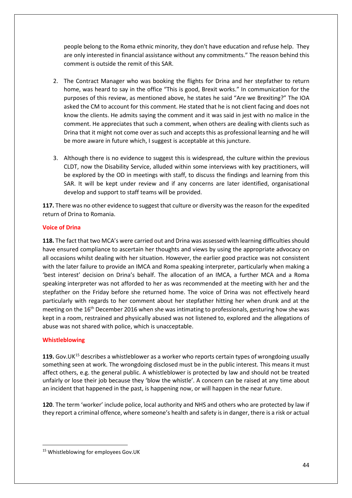people belong to the Roma ethnic minority, they don't have education and refuse help. They are only interested in financial assistance without any commitments." The reason behind this comment is outside the remit of this SAR.

- 2. The Contract Manager who was booking the flights for Drina and her stepfather to return home, was heard to say in the office "This is good, Brexit works." In communication for the purposes of this review, as mentioned above, he states he said "Are we Brexiting?" The IOA asked the CM to account for this comment. He stated that he is not client facing and does not know the clients. He admits saying the comment and it was said in jest with no malice in the comment. He appreciates that such a comment, when others are dealing with clients such as Drina that it might not come over as such and accepts this as professional learning and he will be more aware in future which, I suggest is acceptable at this juncture.
- 3. Although there is no evidence to suggest this is widespread, the culture within the previous CLDT, now the Disability Service, alluded within some interviews with key practitioners, will be explored by the OD in meetings with staff, to discuss the findings and learning from this SAR. It will be kept under review and if any concerns are later identified, organisational develop and support to staff teams will be provided.

**117.** There was no other evidence to suggest that culture or diversity was the reason for the expedited return of Drina to Romania.

# **Voice of Drina**

**118.** The fact that two MCA's were carried out and Drina was assessed with learning difficulties should have ensured compliance to ascertain her thoughts and views by using the appropriate advocacy on all occasions whilst dealing with her situation. However, the earlier good practice was not consistent with the later failure to provide an IMCA and Roma speaking interpreter, particularly when making a 'best interest' decision on Drina's behalf. The allocation of an IMCA, a further MCA and a Roma speaking interpreter was not afforded to her as was recommended at the meeting with her and the stepfather on the Friday before she returned home. The voice of Drina was not effectively heard particularly with regards to her comment about her stepfather hitting her when drunk and at the meeting on the 16<sup>th</sup> December 2016 when she was intimating to professionals, gesturing how she was kept in a room, restrained and physically abused was not listened to, explored and the allegations of abuse was not shared with police, which is unacceptable.

# **Whistleblowing**

**119.** Gov.UK[15](#page-43-0) describes a whistleblower as a worker who reports certain types of wrongdoing usually something seen at work. The wrongdoing disclosed must be in the public interest. This means it must affect others, e.g. the general public. A whistleblower is protected by law and should not be [treated](https://www.gov.uk/whistleblowing/treated-unfairly-after-whistleblowing)  [unfairly or lose their](https://www.gov.uk/whistleblowing/treated-unfairly-after-whistleblowing) job because they 'blow the whistle'. A concern can be raised at any time about an incident that happened in the past, is happening now, or will happen in the near future.

**120**. The term 'worker' include police, local authority and NHS and others who are protected by law if they report a criminal offence, where someone's health and safety is in danger, there is a risk or actual

<span id="page-43-0"></span> <sup>15</sup> Whistleblowing for employees Gov.UK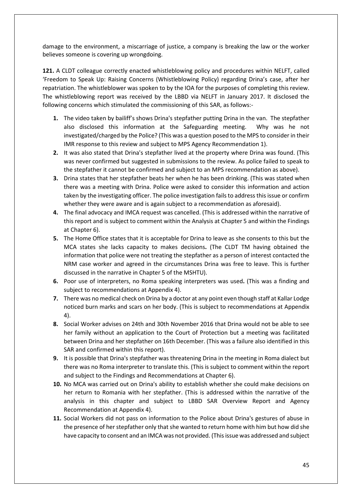damage to the environment, a miscarriage of justice, a company is breaking the law or the worker believes someone is covering up wrongdoing.

**121.** A CLDT colleague correctly enacted whistleblowing policy and procedures within NELFT, called 'Freedom to Speak Up: Raising Concerns (Whistleblowing Policy) regarding Drina's case, after her repatriation. The whistleblower was spoken to by the IOA for the purposes of completing this review. The whistleblowing report was received by the LBBD via NELFT in January 2017. It disclosed the following concerns which stimulated the commissioning of this SAR, as follows:-

- **1.** The video taken by bailiff's shows Drina's stepfather putting Drina in the van. The stepfather also disclosed this information at the Safeguarding meeting. Why was he not investigated/charged by the Police? (This was a question posed to the MPS to consider in their IMR response to this review and subject to MPS Agency Recommendation 1).
- **2.** It was also stated that Drina's stepfather lived at the property where Drina was found. (This was never confirmed but suggested in submissions to the review. As police failed to speak to the stepfather it cannot be confirmed and subject to an MPS recommendation as above).
- **3.** Drina states that her stepfather beats her when he has been drinking. (This was stated when there was a meeting with Drina. Police were asked to consider this information and action taken by the investigating officer. The police investigation fails to address this issue or confirm whether they were aware and is again subject to a recommendation as aforesaid).
- **4.** The final advocacy and IMCA request was cancelled. (This is addressed within the narrative of this report and is subject to comment within the Analysis at Chapter 5 and within the Findings at Chapter 6).
- **5.** The Home Office states that it is acceptable for Drina to leave as she consents to this but the MCA states she lacks capacity to makes decisions**.** (The CLDT TM having obtained the information that police were not treating the stepfather as a person of interest contacted the NRM case worker and agreed in the circumstances Drina was free to leave. This is further discussed in the narrative in Chapter 5 of the MSHTU).
- **6.** Poor use of interpreters, no Roma speaking interpreters was used**.** (This was a finding and subject to recommendations at Appendix 4).
- **7.** There was no medical check on Drina by a doctor at any point even though staff at Kallar Lodge noticed burn marks and scars on her body. (This is subject to recommendations at Appendix 4).
- **8.** Social Worker advises on 24th and 30th November 2016 that Drina would not be able to see her family without an application to the Court of Protection but a meeting was facilitated between Drina and her stepfather on 16th December. (This was a failure also identified in this SAR and confirmed within this report).
- **9.** It is possible that Drina's stepfather was threatening Drina in the meeting in Roma dialect but there was no Roma interpreter to translate this. (This is subject to comment within the report and subject to the Findings and Recommendations at Chapter 6).
- **10.** No MCA was carried out on Drina's ability to establish whether she could make decisions on her return to Romania with her stepfather. (This is addressed within the narrative of the analysis in this chapter and subject to LBBD SAR Overview Report and Agency Recommendation at Appendix 4).
- **11.** Social Workers did not pass on information to the Police about Drina's gestures of abuse in the presence of her stepfather only that she wanted to return home with him but how did she have capacity to consent and an IMCA was not provided. (This issue was addressed and subject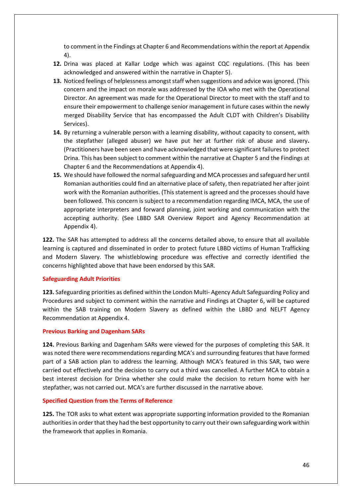to comment in the Findings at Chapter 6 and Recommendations within the report at Appendix 4).

- **12.** Drina was placed at Kallar Lodge which was against CQC regulations. (This has been acknowledged and answered within the narrative in Chapter 5).
- **13.** Noticed feelings of helplessness amongst staff when suggestions and advice was ignored. (This concern and the impact on morale was addressed by the IOA who met with the Operational Director. An agreement was made for the Operational Director to meet with the staff and to ensure their empowerment to challenge senior management in future cases within the newly merged Disability Service that has encompassed the Adult CLDT with Children's Disability Services).
- **14.** By returning a vulnerable person with a learning disability, without capacity to consent, with the stepfather (alleged abuser) we have put her at further risk of abuse and slavery**.** (Practitioners have been seen and have acknowledged that were significant failures to protect Drina. This has been subject to comment within the narrative at Chapter 5 and the Findings at Chapter 6 and the Recommendations at Appendix 4).
- **15.** We should have followed the normal safeguarding and MCA processes and safeguard her until Romanian authorities could find an alternative place of safety, then repatriated her after joint work with the Romanian authorities. (This statement is agreed and the processes should have been followed. This concern is subject to a recommendation regarding IMCA, MCA, the use of appropriate interpreters and forward planning, joint working and communication with the accepting authority. (See LBBD SAR Overview Report and Agency Recommendation at Appendix 4).

**122.** The SAR has attempted to address all the concerns detailed above, to ensure that all available learning is captured and disseminated in order to protect future LBBD victims of Human Trafficking and Modern Slavery. The whistleblowing procedure was effective and correctly identified the concerns highlighted above that have been endorsed by this SAR.

### **Safeguarding Adult Priorities**

**123.** Safeguarding priorities as defined within the London Multi- Agency Adult Safeguarding Policy and Procedures and subject to comment within the narrative and Findings at Chapter 6, will be captured within the SAB training on Modern Slavery as defined within the LBBD and NELFT Agency Recommendation at Appendix 4.

#### **Previous Barking and Dagenham SARs**

**124.** Previous Barking and Dagenham SARs were viewed for the purposes of completing this SAR. It was noted there were recommendations regarding MCA's and surrounding features that have formed part of a SAB action plan to address the learning. Although MCA's featured in this SAR, two were carried out effectively and the decision to carry out a third was cancelled. A further MCA to obtain a best interest decision for Drina whether she could make the decision to return home with her stepfather, was not carried out. MCA's are further discussed in the narrative above.

#### **Specified Question from the Terms of Reference**

**125.** The TOR asks to what extent was appropriate supporting information provided to the Romanian authoritiesin order that they had the best opportunity to carry out their own safeguarding work within the framework that applies in Romania.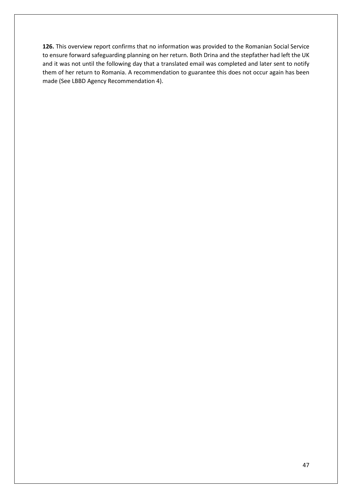**126.** This overview report confirms that no information was provided to the Romanian Social Service to ensure forward safeguarding planning on her return. Both Drina and the stepfather had left the UK and it was not until the following day that a translated email was completed and later sent to notify them of her return to Romania. A recommendation to guarantee this does not occur again has been made (See LBBD Agency Recommendation 4).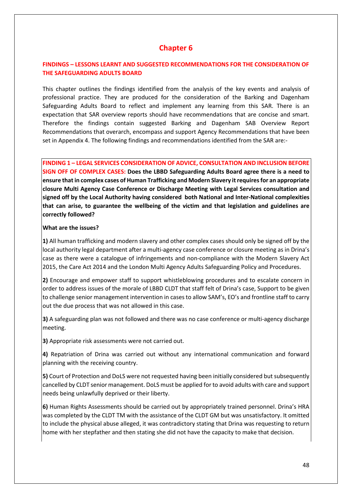# **Chapter 6**

# **FINDINGS – LESSONS LEARNT AND SUGGESTED RECOMMENDATIONS FOR THE CONSIDERATION OF THE SAFEGUARDING ADULTS BOARD**

This chapter outlines the findings identified from the analysis of the key events and analysis of professional practice. They are produced for the consideration of the Barking and Dagenham Safeguarding Adults Board to reflect and implement any learning from this SAR. There is an expectation that SAR overview reports should have recommendations that are concise and smart. Therefore the findings contain suggested Barking and Dagenham SAB Overview Report Recommendations that overarch, encompass and support Agency Recommendations that have been set in Appendix 4. The following findings and recommendations identified from the SAR are:-

**FINDING 1 – LEGAL SERVICES CONSIDERATION OF ADVICE, CONSULTATION AND INCLUSION BEFORE SIGN OFF OF COMPLEX CASES: Does the LBBD Safeguarding Adults Board agree there is a need to ensure that in complex cases of Human Trafficking and Modern Slavery it requiresfor an appropriate closure Multi Agency Case Conference or Discharge Meeting with Legal Services consultation and signed off by the Local Authority having considered both National and Inter-National complexities that can arise, to guarantee the wellbeing of the victim and that legislation and guidelines are correctly followed?**

### **What are the issues?**

**1)** All human trafficking and modern slavery and other complex cases should only be signed off by the local authority legal department after a multi-agency case conference or closure meeting as in Drina's case as there were a catalogue of infringements and non-compliance with the Modern Slavery Act 2015, the Care Act 2014 and the London Multi Agency Adults Safeguarding Policy and Procedures.

**2)** Encourage and empower staff to support whistleblowing procedures and to escalate concern in order to address issues of the morale of LBBD CLDT that staff felt of Drina's case, Support to be given to challenge senior management intervention in cases to allow SAM's, EO's and frontline staff to carry out the due process that was not allowed in this case.

**3)** A safeguarding plan was not followed and there was no case conference or multi-agency discharge meeting.

**3)** Appropriate risk assessments were not carried out.

**4)** Repatriation of Drina was carried out without any international communication and forward planning with the receiving country.

**5)** Court of Protection and DoLS were not requested having been initially considered but subsequently cancelled by CLDT senior management. DoLS must be applied for to avoid adults with care and support needs being unlawfully deprived or their liberty.

**6)** Human Rights Assessments should be carried out by appropriately trained personnel. Drina's HRA was completed by the CLDT TM with the assistance of the CLDT GM but was unsatisfactory. It omitted to include the physical abuse alleged, it was contradictory stating that Drina was requesting to return home with her stepfather and then stating she did not have the capacity to make that decision.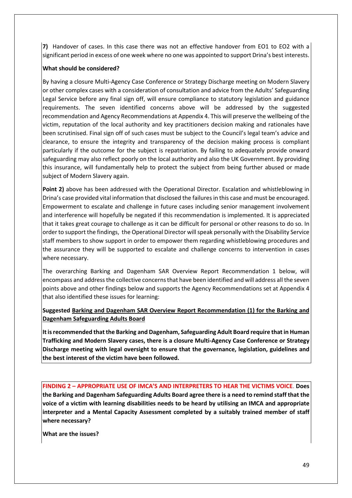**7)** Handover of cases. In this case there was not an effective handover from EO1 to EO2 with a significant period in excess of one week where no one was appointed to support Drina's best interests.

# **What should be considered?**

By having a closure Multi-Agency Case Conference or Strategy Discharge meeting on Modern Slavery or other complex cases with a consideration of consultation and advice from the Adults' Safeguarding Legal Service before any final sign off, will ensure compliance to statutory legislation and guidance requirements. The seven identified concerns above will be addressed by the suggested recommendation and Agency Recommendations at Appendix 4. This will preserve the wellbeing of the victim, reputation of the local authority and key practitioners decision making and rationales have been scrutinised. Final sign off of such cases must be subject to the Council's legal team's advice and clearance, to ensure the integrity and transparency of the decision making process is compliant particularly if the outcome for the subject is repatriation. By failing to adequately provide onward safeguarding may also reflect poorly on the local authority and also the UK Government. By providing this insurance, will fundamentally help to protect the subject from being further abused or made subject of Modern Slavery again.

**Point 2)** above has been addressed with the Operational Director. Escalation and whistleblowing in Drina's case provided vital information that disclosed the failures in this case and must be encouraged. Empowerment to escalate and challenge in future cases including senior management involvement and interference will hopefully be negated if this recommendation is implemented. It is appreciated that it takes great courage to challenge as it can be difficult for personal or other reasons to do so. In order to support the findings, the Operational Director will speak personally with the Disability Service staff members to show support in order to empower them regarding whistleblowing procedures and the assurance they will be supported to escalate and challenge concerns to intervention in cases where necessary.

The overarching Barking and Dagenham SAR Overview Report Recommendation 1 below, will encompass and address the collective concerns that have been identified and will address all the seven points above and other findings below and supports the Agency Recommendations set at Appendix 4 that also identified these issues for learning:

**Suggested Barking and Dagenham SAR Overview Report Recommendation (1) for the Barking and Dagenham Safeguarding Adults Board**

**It is recommended that the Barking and Dagenham, Safeguarding Adult Board require that in Human Trafficking and Modern Slavery cases, there is a closure Multi-Agency Case Conference or Strategy Discharge meeting with legal oversight to ensure that the governance, legislation, guidelines and the best interest of the victim have been followed.**

**FINDING 2 – APPROPRIATE USE OF IMCA'S AND INTERPRETERS TO HEAR THE VICTIMS VOICE**. **Does the Barking and Dagenham Safeguarding Adults Board agree there is a need to remind staff that the voice of a victim with learning disabilities needs to be heard by utilising an IMCA and appropriate interpreter and a Mental Capacity Assessment completed by a suitably trained member of staff where necessary?**

**What are the issues?**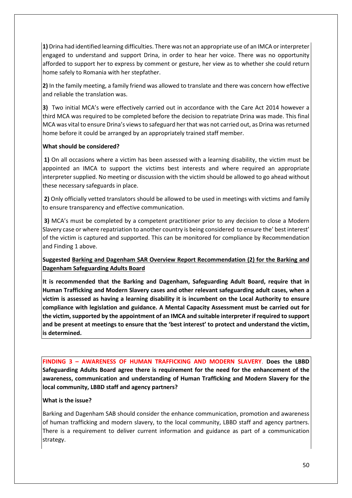**1)** Drina had identified learning difficulties. There was not an appropriate use of an IMCA or interpreter engaged to understand and support Drina, in order to hear her voice. There was no opportunity afforded to support her to express by comment or gesture, her view as to whether she could return home safely to Romania with her stepfather.

**2)** In the family meeting, a family friend was allowed to translate and there was concern how effective and reliable the translation was.

**3)** Two initial MCA's were effectively carried out in accordance with the Care Act 2014 however a third MCA was required to be completed before the decision to repatriate Drina was made. This final MCA was vital to ensure Drina's views to safeguard her that was not carried out, as Drina was returned home before it could be arranged by an appropriately trained staff member.

### **What should be considered?**

**1)** On all occasions where a victim has been assessed with a learning disability, the victim must be appointed an IMCA to support the victims best interests and where required an appropriate interpreter supplied. No meeting or discussion with the victim should be allowed to go ahead without these necessary safeguards in place.

**2)** Only officially vetted translators should be allowed to be used in meetings with victims and family to ensure transparency and effective communication.

**3)** MCA's must be completed by a competent practitioner prior to any decision to close a Modern Slavery case or where repatriation to another country is being considered to ensure the' best interest' of the victim is captured and supported. This can be monitored for compliance by Recommendation and Finding 1 above.

**Suggested Barking and Dagenham SAR Overview Report Recommendation (2) for the Barking and Dagenham Safeguarding Adults Board**

**It is recommended that the Barking and Dagenham, Safeguarding Adult Board, require that in Human Trafficking and Modern Slavery cases and other relevant safeguarding adult cases, when a victim is assessed as having a learning disability it is incumbent on the Local Authority to ensure compliance with legislation and guidance. A Mental Capacity Assessment must be carried out for the victim, supported by the appointment of an IMCA and suitable interpreter if required to support and be present at meetings to ensure that the 'best interest' to protect and understand the victim, is determined.** 

**FINDING 3 – AWARENESS OF HUMAN TRAFFICKING AND MODERN SLAVERY**. **Does the LBBD Safeguarding Adults Board agree there is requirement for the need for the enhancement of the awareness, communication and understanding of Human Trafficking and Modern Slavery for the local community, LBBD staff and agency partners?**

### **What is the issue?**

Barking and Dagenham SAB should consider the enhance communication, promotion and awareness of human trafficking and modern slavery, to the local community, LBBD staff and agency partners. There is a requirement to deliver current information and guidance as part of a communication strategy.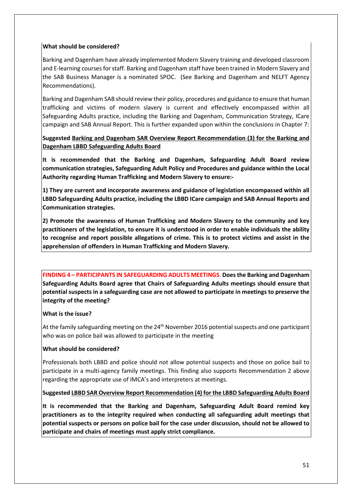### **What should be considered?**

Barking and Dagenham have already implemented Modern Slavery training and developed classroom and E-learning courses for staff. Barking and Dagenham staff have been trained in Modern Slavery and the SAB Business Manager is a nominated SPOC. (See Barking and Dagenham and NELFT Agency Recommendations).

Barking and Dagenham SAB should review their policy, procedures and guidance to ensure that human trafficking and victims of modern slavery is current and effectively encompassed within all Safeguarding Adults practice, including the Barking and Dagenham, Communication Strategy, ICare campaign and SAB Annual Report. This is further expanded upon within the conclusions in Chapter 7:

# **Suggested Barking and Dagenham SAR Overview Report Recommendation (3) for the Barking and Dagenham LBBD Safeguarding Adults Board**

**It is recommended that the Barking and Dagenham, Safeguarding Adult Board review communication strategies, Safeguarding Adult Policy and Procedures and guidance within the Local Authority regarding Human Trafficking and Modern Slavery to ensure:-**

**1) They are current and incorporate awareness and guidance of legislation encompassed within all LBBD Safeguarding Adults practice, including the LBBD ICare campaign and SAB Annual Reports and Communication strategies.**

**2) Promote the awareness of Human Trafficking and Modern Slavery to the community and key practitioners of the legislation, to ensure it is understood in order to enable individuals the ability to recognise and report possible allegations of crime. This is to protect victims and assist in the apprehension of offenders in Human Trafficking and Modern Slavery.**

**FINDING 4 – PARTICIPANTS IN SAFEGUARDING ADULTS MEETINGS**. **Does the Barking and Dagenham Safeguarding Adults Board agree that Chairs of Safeguarding Adults meetings should ensure that potential suspects in a safeguarding case are not allowed to participate in meetings to preserve the integrity of the meeting?**

# **What is the issue?**

At the family safeguarding meeting on the  $24<sup>th</sup>$  November 2016 potential suspects and one participant who was on police bail was allowed to participate in the meeting

# **What should be considered?**

Professionals both LBBD and police should not allow potential suspects and those on police bail to participate in a multi-agency family meetings. This finding also supports Recommendation 2 above regarding the appropriate use of IMCA's and interpreters at meetings.

# **Suggested LBBD SAR Overview Report Recommendation (4) for the LBBD Safeguarding Adults Board**

**It is recommended that the Barking and Dagenham, Safeguarding Adult Board remind key practitioners as to the integrity required when conducting all safeguarding adult meetings that potential suspects or persons on police bail for the case under discussion, should not be allowed to participate and chairs of meetings must apply strict compliance.**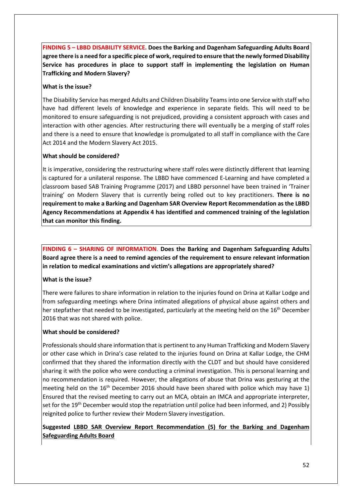**FINDING 5 – LBBD DISABILITY SERVICE. Does the Barking and Dagenham Safeguarding Adults Board agree there is a need for a specific piece of work, required to ensure that the newly formed Disability Service has procedures in place to support staff in implementing the legislation on Human Trafficking and Modern Slavery?**

### **What is the issue?**

The Disability Service has merged Adults and Children Disability Teams into one Service with staff who have had different levels of knowledge and experience in separate fields. This will need to be monitored to ensure safeguarding is not prejudiced, providing a consistent approach with cases and interaction with other agencies. After restructuring there will eventually be a merging of staff roles and there is a need to ensure that knowledge is promulgated to all staff in compliance with the Care Act 2014 and the Modern Slavery Act 2015.

### **What should be considered?**

It is imperative, considering the restructuring where staff roles were distinctly different that learning is captured for a unilateral response. The LBBD have commenced E-Learning and have completed a classroom based SAB Training Programme (2017) and LBBD personnel have been trained in 'Trainer training' on Modern Slavery that is currently being rolled out to key practitioners. **There is no requirement to make a Barking and Dagenham SAR Overview Report Recommendation as the LBBD Agency Recommendations at Appendix 4 has identified and commenced training of the legislation that can monitor this finding.**

**FINDING 6 – SHARING OF INFORMATION**. **Does the Barking and Dagenham Safeguarding Adults Board agree there is a need to remind agencies of the requirement to ensure relevant information in relation to medical examinations and victim's allegations are appropriately shared?**

# **What is the issue?**

There were failures to share information in relation to the injuries found on Drina at Kallar Lodge and from safeguarding meetings where Drina intimated allegations of physical abuse against others and her stepfather that needed to be investigated, particularly at the meeting held on the 16<sup>th</sup> December 2016 that was not shared with police.

### **What should be considered?**

Professionals should share information that is pertinent to any Human Trafficking and Modern Slavery or other case which in Drina's case related to the injuries found on Drina at Kallar Lodge, the CHM confirmed that they shared the information directly with the CLDT and but should have considered sharing it with the police who were conducting a criminal investigation. This is personal learning and no recommendation is required. However, the allegations of abuse that Drina was gesturing at the meeting held on the  $16<sup>th</sup>$  December 2016 should have been shared with police which may have 1) Ensured that the revised meeting to carry out an MCA, obtain an IMCA and appropriate interpreter, set for the 19<sup>th</sup> December would stop the repatriation until police had been informed, and 2) Possibly reignited police to further review their Modern Slavery investigation.

# **Suggested LBBD SAR Overview Report Recommendation (5) for the Barking and Dagenham Safeguarding Adults Board**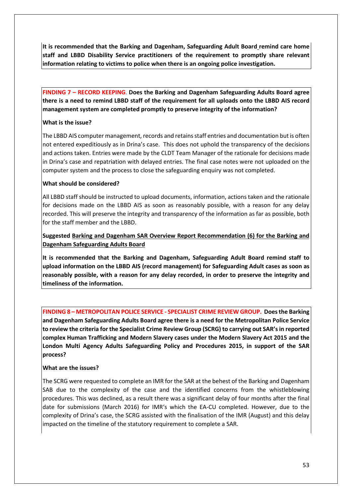**It is recommended that the Barking and Dagenham, Safeguarding Adult Board remind care home staff and LBBD Disability Service practitioners of the requirement to promptly share relevant information relating to victims to police when there is an ongoing police investigation.** 

**FINDING 7 – RECORD KEEPING**. **Does the Barking and Dagenham Safeguarding Adults Board agree there is a need to remind LBBD staff of the requirement for all uploads onto the LBBD AIS record management system are completed promptly to preserve integrity of the information?**

# **What is the issue?**

The LBBD AIS computer management, records and retains staff entries and documentation but is often not entered expeditiously as in Drina's case. This does not uphold the transparency of the decisions and actions taken. Entries were made by the CLDT Team Manager of the rationale for decisions made in Drina's case and repatriation with delayed entries. The final case notes were not uploaded on the computer system and the process to close the safeguarding enquiry was not completed.

# **What should be considered?**

All LBBD staff should be instructed to upload documents, information, actions taken and the rationale for decisions made on the LBBD AIS as soon as reasonably possible, with a reason for any delay recorded. This will preserve the integrity and transparency of the information as far as possible, both for the staff member and the LBBD.

# **Suggested Barking and Dagenham SAR Overview Report Recommendation (6) for the Barking and Dagenham Safeguarding Adults Board**

**It is recommended that the Barking and Dagenham, Safeguarding Adult Board remind staff to upload information on the LBBD AIS (record management) for Safeguarding Adult cases as soon as reasonably possible, with a reason for any delay recorded, in order to preserve the integrity and timeliness of the information.**

**FINDING 8 – METROPOLITAN POLICE SERVICE - SPECIALIST CRIME REVIEW GROUP. Does the Barking and Dagenham Safeguarding Adults Board agree there is a need for the Metropolitan Police Service to review the criteria for the Specialist Crime Review Group (SCRG) to carrying out SAR's in reported complex Human Trafficking and Modern Slavery cases under the Modern Slavery Act 2015 and the London Multi Agency Adults Safeguarding Policy and Procedures 2015, in support of the SAR process?** 

# **What are the issues?**

The SCRG were requested to complete an IMR for the SAR at the behest of the Barking and Dagenham SAB due to the complexity of the case and the identified concerns from the whistleblowing procedures. This was declined, as a result there was a significant delay of four months after the final date for submissions (March 2016) for IMR's which the EA-CU completed. However, due to the complexity of Drina's case, the SCRG assisted with the finalisation of the IMR (August) and this delay impacted on the timeline of the statutory requirement to complete a SAR.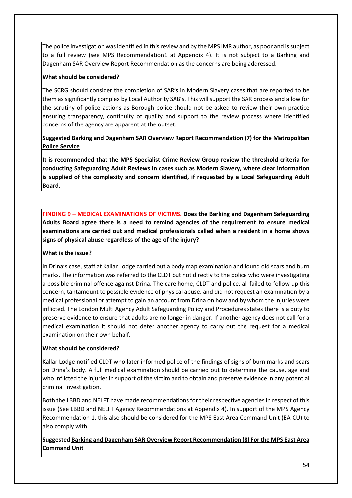The police investigation was identified in this review and by the MPS IMR author, as poor and is subject to a full review (see MPS Recommendation1 at Appendix 4). It is not subject to a Barking and Dagenham SAR Overview Report Recommendation as the concerns are being addressed.

# **What should be considered?**

The SCRG should consider the completion of SAR's in Modern Slavery cases that are reported to be them as significantly complex by Local Authority SAB's. This will support the SAR process and allow for the scrutiny of police actions as Borough police should not be asked to review their own practice ensuring transparency, continuity of quality and support to the review process where identified concerns of the agency are apparent at the outset.

# **Suggested Barking and Dagenham SAR Overview Report Recommendation (7) for the Metropolitan Police Service**

**It is recommended that the MPS Specialist Crime Review Group review the threshold criteria for conducting Safeguarding Adult Reviews in cases such as Modern Slavery, where clear information is supplied of the complexity and concern identified, if requested by a Local Safeguarding Adult Board.**

**FINDING 9 – MEDICAL EXAMINATIONS OF VICTIMS. Does the Barking and Dagenham Safeguarding Adults Board agree there is a need to remind agencies of the requirement to ensure medical examinations are carried out and medical professionals called when a resident in a home shows signs of physical abuse regardless of the age of the injury?**

# **What is the issue?**

In Drina's case, staff at Kallar Lodge carried out a body map examination and found old scars and burn marks. The information was referred to the CLDT but not directly to the police who were investigating a possible criminal offence against Drina. The care home, CLDT and police, all failed to follow up this concern, tantamount to possible evidence of physical abuse. and did not request an examination by a medical professional or attempt to gain an account from Drina on how and by whom the injuries were inflicted. The London Multi Agency Adult Safeguarding Policy and Procedures states there is a duty to preserve evidence to ensure that adults are no longer in danger. If another agency does not call for a medical examination it should not deter another agency to carry out the request for a medical examination on their own behalf.

# **What should be considered?**

Kallar Lodge notified CLDT who later informed police of the findings of signs of burn marks and scars on Drina's body. A full medical examination should be carried out to determine the cause, age and who inflicted the injuries in support of the victim and to obtain and preserve evidence in any potential criminal investigation.

Both the LBBD and NELFT have made recommendations for their respective agencies in respect of this issue (See LBBD and NELFT Agency Recommendations at Appendix 4). In support of the MPS Agency Recommendation 1, this also should be considered for the MPS East Area Command Unit (EA-CU) to also comply with.

**Suggested Barking and Dagenham SAR Overview Report Recommendation (8) For the MPS East Area Command Unit**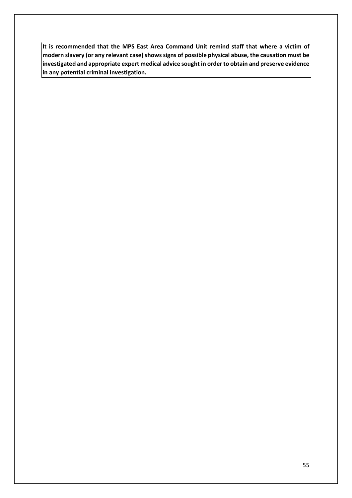**It is recommended that the MPS East Area Command Unit remind staff that where a victim of modern slavery (or any relevant case) shows signs of possible physical abuse, the causation must be investigated and appropriate expert medical advice sought in order to obtain and preserve evidence in any potential criminal investigation.**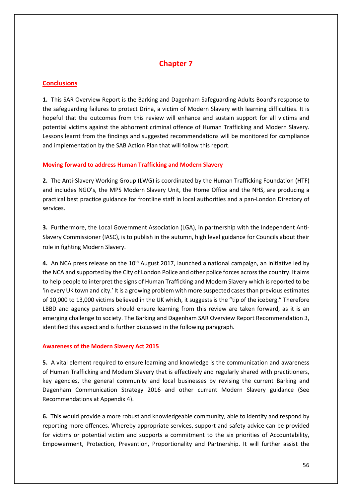# **Chapter 7**

# **Conclusions**

**1.** This SAR Overview Report is the Barking and Dagenham Safeguarding Adults Board's response to the safeguarding failures to protect Drina, a victim of Modern Slavery with learning difficulties. It is hopeful that the outcomes from this review will enhance and sustain support for all victims and potential victims against the abhorrent criminal offence of Human Trafficking and Modern Slavery. Lessons learnt from the findings and suggested recommendations will be monitored for compliance and implementation by the SAB Action Plan that will follow this report.

# **Moving forward to address Human Trafficking and Modern Slavery**

**2.** The Anti-Slavery Working Group (LWG) is coordinated by the Human Trafficking Foundation (HTF) and includes NGO's, the MPS Modern Slavery Unit, the Home Office and the NHS, are producing a practical best practice guidance for frontline staff in local authorities and a pan-London Directory of services.

**3.** Furthermore, the Local Government Association (LGA), in partnership with the Independent Anti-Slavery Commissioner (IASC), is to publish in the autumn, high level guidance for Councils about their role in fighting Modern Slavery.

**4.** An NCA press release on the 10<sup>th</sup> August 2017, launched a national campaign, an initiative led by the NCA and supported by the City of London Police and other police forces across the country. It aims to help people to interpret the signs of Human Trafficking and Modern Slavery which is reported to be 'in every UK town and city.' It is a growing problem with more suspected cases than previous estimates of 10,000 to 13,000 victims believed in the UK which, it suggests is the "tip of the iceberg." Therefore LBBD and agency partners should ensure learning from this review are taken forward, as it is an emerging challenge to society. The Barking and Dagenham SAR Overview Report Recommendation 3, identified this aspect and is further discussed in the following paragraph.

# **Awareness of the Modern Slavery Act 2015**

**5.** A vital element required to ensure learning and knowledge is the communication and awareness of Human Trafficking and Modern Slavery that is effectively and regularly shared with practitioners, key agencies, the general community and local businesses by revising the current Barking and Dagenham Communication Strategy 2016 and other current Modern Slavery guidance (See Recommendations at Appendix 4).

**6.** This would provide a more robust and knowledgeable community, able to identify and respond by reporting more offences. Whereby appropriate services, support and safety advice can be provided for victims or potential victim and supports a commitment to the six priorities of Accountability, Empowerment, Protection, Prevention, Proportionality and Partnership. It will further assist the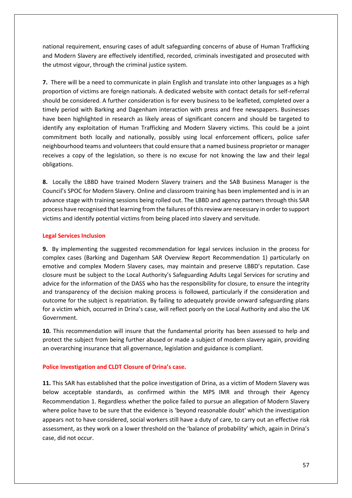national requirement, ensuring cases of adult safeguarding concerns of abuse of Human Trafficking and Modern Slavery are effectively identified, recorded, criminals investigated and prosecuted with the utmost vigour, through the criminal justice system.

**7.** There will be a need to communicate in plain English and translate into other languages as a high proportion of victims are foreign nationals. A dedicated website with contact details for self-referral should be considered. A further consideration is for every business to be leafleted, completed over a timely period with Barking and Dagenham interaction with press and free newspapers. Businesses have been highlighted in research as likely areas of significant concern and should be targeted to identify any exploitation of Human Trafficking and Modern Slavery victims. This could be a joint commitment both locally and nationally, possibly using local enforcement officers, police safer neighbourhood teams and volunteers that could ensure that a named business proprietor or manager receives a copy of the legislation, so there is no excuse for not knowing the law and their legal obligations.

**8.** Locally the LBBD have trained Modern Slavery trainers and the SAB Business Manager is the Council's SPOC for Modern Slavery. Online and classroom training has been implemented and is in an advance stage with training sessions being rolled out. The LBBD and agency partners through this SAR process have recognised that learning from the failures of this review are necessary in order to support victims and identify potential victims from being placed into slavery and servitude.

### **Legal Services Inclusion**

**9.** By implementing the suggested recommendation for legal services inclusion in the process for complex cases (Barking and Dagenham SAR Overview Report Recommendation 1) particularly on emotive and complex Modern Slavery cases, may maintain and preserve LBBD's reputation. Case closure must be subject to the Local Authority's Safeguarding Adults Legal Services for scrutiny and advice for the information of the DASS who has the responsibility for closure, to ensure the integrity and transparency of the decision making process is followed, particularly if the consideration and outcome for the subject is repatriation. By failing to adequately provide onward safeguarding plans for a victim which, occurred in Drina's case, will reflect poorly on the Local Authority and also the UK Government.

**10.** This recommendation will insure that the fundamental priority has been assessed to help and protect the subject from being further abused or made a subject of modern slavery again, providing an overarching insurance that all governance, legislation and guidance is compliant.

# **Police Investigation and CLDT Closure of Drina's case.**

**11.** This SAR has established that the police investigation of Drina, as a victim of Modern Slavery was below acceptable standards, as confirmed within the MPS IMR and through their Agency Recommendation 1. Regardless whether the police failed to pursue an allegation of Modern Slavery where police have to be sure that the evidence is 'beyond reasonable doubt' which the investigation appears not to have considered, social workers still have a duty of care, to carry out an effective risk assessment, as they work on a lower threshold on the 'balance of probability' which, again in Drina's case, did not occur.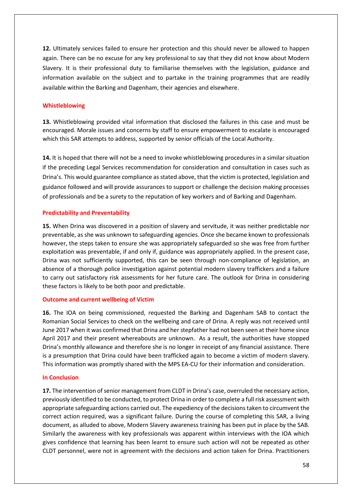**12.** Ultimately services failed to ensure her protection and this should never be allowed to happen again. There can be no excuse for any key professional to say that they did not know about Modern Slavery. It is their professional duty to familiarise themselves with the legislation, guidance and information available on the subject and to partake in the training programmes that are readily available within the Barking and Dagenham, their agencies and elsewhere.

### **Whistleblowing**

**13.** Whistleblowing provided vital information that disclosed the failures in this case and must be encouraged. Morale issues and concerns by staff to ensure empowerment to escalate is encouraged which this SAR attempts to address, supported by senior officials of the Local Authority.

**14.** It is hoped that there will not be a need to invoke whistleblowing procedures in a similar situation if the preceding Legal Services recommendation for consideration and consultation in cases such as Drina's. This would guarantee compliance as stated above, that the victim is protected, legislation and guidance followed and will provide assurances to support or challenge the decision making processes of professionals and be a surety to the reputation of key workers and of Barking and Dagenham.

### **Predictability and Preventability**

**15.** When Drina was discovered in a position of slavery and servitude, it was neither predictable nor preventable, as she was unknown to safeguarding agencies. Once she became known to professionals however, the steps taken to ensure she was appropriately safeguarded so she was free from further exploitation was preventable, if and only if, guidance was appropriately applied. In the present case, Drina was not sufficiently supported, this can be seen through non-compliance of legislation, an absence of a thorough police investigation against potential modern slavery traffickers and a failure to carry out satisfactory risk assessments for her future care. The outlook for Drina in considering these factors is likely to be both poor and predictable.

### **Outcome and current wellbeing of Victim**

**16.** The IOA on being commissioned, requested the Barking and Dagenham SAB to contact the Romanian Social Services to check on the wellbeing and care of Drina. A reply was not received until June 2017 when it was confirmed that Drina and her stepfather had not been seen at their home since April 2017 and their present whereabouts are unknown. As a result, the authorities have stopped Drina's monthly allowance and therefore she is no longer in receipt of any financial assistance. There is a presumption that Drina could have been trafficked again to become a victim of modern slavery. This information was promptly shared with the MPS EA-CU for their information and consideration.

### **In Conclusion**

**17.** The intervention of senior management from CLDT in Drina's case, overruled the necessary action, previously identified to be conducted, to protect Drina in order to complete a full risk assessment with appropriate safeguarding actions carried out. The expediency of the decisionstaken to circumvent the correct action required, was a significant failure. During the course of completing this SAR, a living document, as alluded to above, Modern Slavery awareness training has been put in place by the SAB. Similarly the awareness with key professionals was apparent within interviews with the IOA which gives confidence that learning has been learnt to ensure such action will not be repeated as other CLDT personnel, were not in agreement with the decisions and action taken for Drina. Practitioners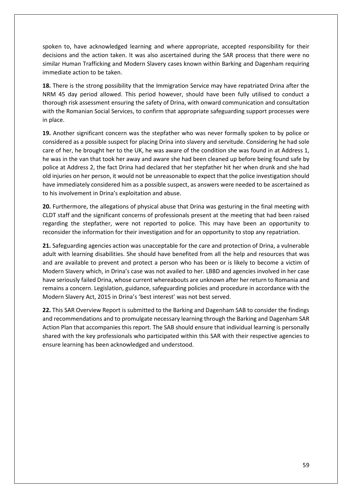spoken to, have acknowledged learning and where appropriate, accepted responsibility for their decisions and the action taken. It was also ascertained during the SAR process that there were no similar Human Trafficking and Modern Slavery cases known within Barking and Dagenham requiring immediate action to be taken.

**18.** There is the strong possibility that the Immigration Service may have repatriated Drina after the NRM 45 day period allowed. This period however, should have been fully utilised to conduct a thorough risk assessment ensuring the safety of Drina, with onward communication and consultation with the Romanian Social Services, to confirm that appropriate safeguarding support processes were in place.

**19.** Another significant concern was the stepfather who was never formally spoken to by police or considered as a possible suspect for placing Drina into slavery and servitude. Considering he had sole care of her, he brought her to the UK, he was aware of the condition she was found in at Address 1, he was in the van that took her away and aware she had been cleaned up before being found safe by police at Address 2, the fact Drina had declared that her stepfather hit her when drunk and she had old injuries on her person, it would not be unreasonable to expect that the police investigation should have immediately considered him as a possible suspect, as answers were needed to be ascertained as to his involvement in Drina's exploitation and abuse.

**20.** Furthermore, the allegations of physical abuse that Drina was gesturing in the final meeting with CLDT staff and the significant concerns of professionals present at the meeting that had been raised regarding the stepfather, were not reported to police. This may have been an opportunity to reconsider the information for their investigation and for an opportunity to stop any repatriation.

**21.** Safeguarding agencies action was unacceptable for the care and protection of Drina, a vulnerable adult with learning disabilities. She should have benefited from all the help and resources that was and are available to prevent and protect a person who has been or is likely to become a victim of Modern Slavery which, in Drina's case was not availed to her. LBBD and agencies involved in her case have seriously failed Drina, whose current whereabouts are unknown after her return to Romania and remains a concern. Legislation, guidance, safeguarding policies and procedure in accordance with the Modern Slavery Act, 2015 in Drina's 'best interest' was not best served.

**22.** This SAR Overview Report is submitted to the Barking and Dagenham SAB to consider the findings and recommendations and to promulgate necessary learning through the Barking and Dagenham SAR Action Plan that accompanies this report. The SAB should ensure that individual learning is personally shared with the key professionals who participated within this SAR with their respective agencies to ensure learning has been acknowledged and understood.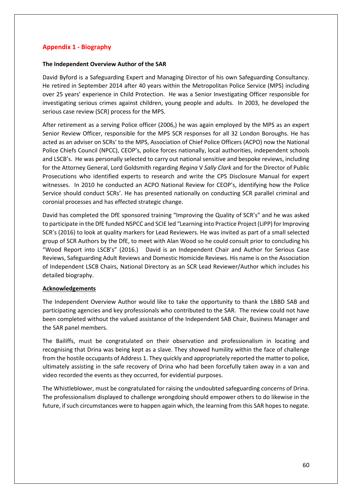# **Appendix 1 - Biography**

### **The Independent Overview Author of the SAR**

David Byford is a Safeguarding Expert and Managing Director of his own Safeguarding Consultancy. He retired in September 2014 after 40 years within the Metropolitan Police Service (MPS) including over 25 years' experience in Child Protection. He was a Senior Investigating Officer responsible for investigating serious crimes against children, young people and adults. In 2003, he developed the serious case review (SCR) process for the MPS.

After retirement as a serving Police officer (2006,) he was again employed by the MPS as an expert Senior Review Officer, responsible for the MPS SCR responses for all 32 London Boroughs. He has acted as an adviser on SCRs' to the MPS, Association of Chief Police Officers (ACPO) now the National Police Chiefs Council (NPCC), CEOP's, police forces nationally, local authorities, independent schools and LSCB's. He was personally selected to carry out national sensitive and bespoke reviews, including for the Attorney General, Lord Goldsmith regarding *Regina* V *Sally Clark* and for the Director of Public Prosecutions who identified experts to research and write the CPS Disclosure Manual for expert witnesses. In 2010 he conducted an ACPO National Review for CEOP's, identifying how the Police Service should conduct SCRs'. He has presented nationally on conducting SCR parallel criminal and coronial processes and has effected strategic change.

David has completed the DfE sponsored training "Improving the Quality of SCR's" and he was asked to participate in the DfE funded NSPCC and SCIE led "Learning into Practice Project (LiPP) for Improving SCR's (2016) to look at quality markers for Lead Reviewers. He was invited as part of a small selected group of SCR Authors by the DfE, to meet with Alan Wood so he could consult prior to concluding his "Wood Report into LSCB's" (2016.) David is an Independent Chair and Author for Serious Case Reviews, Safeguarding Adult Reviews and Domestic Homicide Reviews. His name is on the Association of Independent LSCB Chairs, National Directory as an SCR Lead Reviewer/Author which includes his detailed biography.

### **Acknowledgements**

The Independent Overview Author would like to take the opportunity to thank the LBBD SAB and participating agencies and key professionals who contributed to the SAR. The review could not have been completed without the valued assistance of the Independent SAB Chair, Business Manager and the SAR panel members.

The Bailiffs, must be congratulated on their observation and professionalism in locating and recognising that Drina was being kept as a slave. They showed humility within the face of challenge from the hostile occupants of Address 1. They quickly and appropriately reported the matter to police, ultimately assisting in the safe recovery of Drina who had been forcefully taken away in a van and video recorded the events as they occurred, for evidential purposes.

The Whistleblower, must be congratulated for raising the undoubted safeguarding concerns of Drina. The professionalism displayed to challenge wrongdoing should empower others to do likewise in the future, if such circumstances were to happen again which, the learning from this SAR hopes to negate.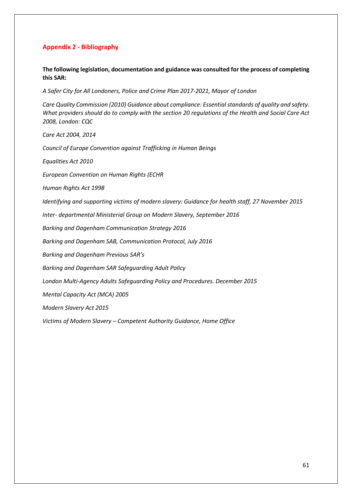# **Appendix 2 - Bibliography**

### **The following legislation, documentation and guidance was consulted for the process of completing this SAR:**

*A Safer City for All Londoners, Police and Crime Plan 2017-2021, Mayor of London* 

*Care Quality Commission (2010) Guidance about compliance: Essential standards of quality and safety. What providers should do to comply with the section 20 regulations of the Health and Social Care Act 2008, London: CQC*

*Care Act 2004, 2014*

*Council of Europe Convention against Trafficking in Human Beings*

*Equalities Act 2010*

*European Convention on Human Rights (ECHR* 

*Human Rights Act 1998*

*Identifying and supporting victims of modern slavery: Guidance for health staff, 27 November 2015*

*Inter- departmental Ministerial Group on Modern Slavery, September 2016*

*Barking and Dagenham Communication Strategy 2016*

*Barking and Dagenham SAB, Communication Protocol, July 2016* 

*Barking and Dagenham Previous SAR's*

*Barking and Dagenham SAR Safeguarding Adult Policy*

*London Multi-Agency Adults Safeguarding Policy and Procedures. December 2015* 

*Mental Capacity Act (MCA) 2005*

*Modern Slavery Act 2015*

*Victims of Modern Slavery – Competent Authority Guidance, Home Office*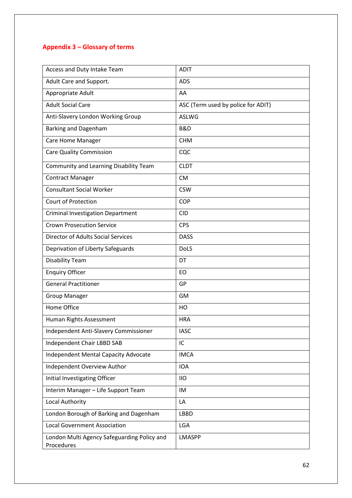# **Appendix 3 – Glossary of terms**

| Access and Duty Intake Team                               | <b>ADIT</b>                        |
|-----------------------------------------------------------|------------------------------------|
| Adult Care and Support.                                   | <b>ADS</b>                         |
| Appropriate Adult                                         | AA                                 |
| <b>Adult Social Care</b>                                  | ASC (Term used by police for ADIT) |
| Anti-Slavery London Working Group                         | <b>ASLWG</b>                       |
| <b>Barking and Dagenham</b>                               | B&D                                |
| Care Home Manager                                         | <b>CHM</b>                         |
| <b>Care Quality Commission</b>                            | CQC                                |
| Community and Learning Disability Team                    | <b>CLDT</b>                        |
| <b>Contract Manager</b>                                   | <b>CM</b>                          |
| <b>Consultant Social Worker</b>                           | <b>CSW</b>                         |
| <b>Court of Protection</b>                                | <b>COP</b>                         |
| <b>Criminal Investigation Department</b>                  | <b>CID</b>                         |
| <b>Crown Prosecution Service</b>                          | <b>CPS</b>                         |
| <b>Director of Adults Social Services</b>                 | <b>DASS</b>                        |
| Deprivation of Liberty Safeguards                         | <b>DoLS</b>                        |
| <b>Disability Team</b>                                    | DT                                 |
| <b>Enquiry Officer</b>                                    | EO                                 |
| <b>General Practitioner</b>                               | GP                                 |
| <b>Group Manager</b>                                      | <b>GM</b>                          |
| Home Office                                               | HO                                 |
| Human Rights Assessment                                   | <b>HRA</b>                         |
| Independent Anti-Slavery Commissioner                     | <b>IASC</b>                        |
| Independent Chair LBBD SAB                                | IC                                 |
| <b>Independent Mental Capacity Advocate</b>               | <b>IMCA</b>                        |
| Independent Overview Author                               | <b>IOA</b>                         |
| Initial Investigating Officer                             | <b>IIO</b>                         |
| Interim Manager - Life Support Team                       | IM                                 |
| Local Authority                                           | LA                                 |
| London Borough of Barking and Dagenham                    | <b>LBBD</b>                        |
| <b>Local Government Association</b>                       | LGA                                |
| London Multi Agency Safeguarding Policy and<br>Procedures | <b>LMASPP</b>                      |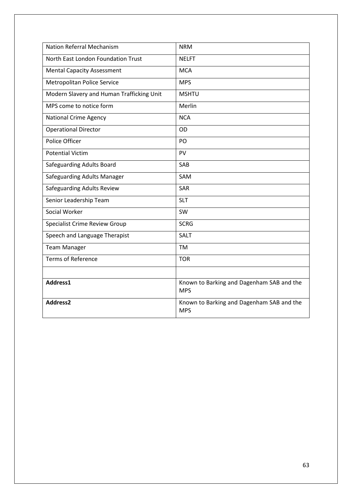| <b>Nation Referral Mechanism</b>          | <b>NRM</b>                                              |
|-------------------------------------------|---------------------------------------------------------|
| North East London Foundation Trust        | <b>NELFT</b>                                            |
| <b>Mental Capacity Assessment</b>         | <b>MCA</b>                                              |
| <b>Metropolitan Police Service</b>        | <b>MPS</b>                                              |
| Modern Slavery and Human Trafficking Unit | <b>MSHTU</b>                                            |
| MPS come to notice form                   | Merlin                                                  |
| <b>National Crime Agency</b>              | <b>NCA</b>                                              |
| <b>Operational Director</b>               | <b>OD</b>                                               |
| Police Officer                            | PO                                                      |
| <b>Potential Victim</b>                   | PV                                                      |
| Safeguarding Adults Board                 | SAB                                                     |
| Safeguarding Adults Manager               | SAM                                                     |
| Safeguarding Adults Review                | <b>SAR</b>                                              |
| Senior Leadership Team                    | <b>SLT</b>                                              |
| Social Worker                             | SW                                                      |
| <b>Specialist Crime Review Group</b>      | <b>SCRG</b>                                             |
| Speech and Language Therapist             | <b>SALT</b>                                             |
| <b>Team Manager</b>                       | <b>TM</b>                                               |
| <b>Terms of Reference</b>                 | <b>TOR</b>                                              |
|                                           |                                                         |
| Address1                                  | Known to Barking and Dagenham SAB and the<br><b>MPS</b> |
| Address2                                  | Known to Barking and Dagenham SAB and the<br><b>MPS</b> |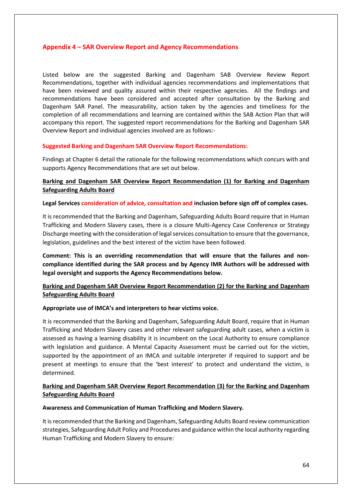### **Appendix 4 – SAR Overview Report and Agency Recommendations**

Listed below are the suggested Barking and Dagenham SAB Overview Review Report Recommendations, together with individual agencies recommendations and implementations that have been reviewed and quality assured within their respective agencies. All the findings and recommendations have been considered and accepted after consultation by the Barking and Dagenham SAR Panel. The measurability, action taken by the agencies and timeliness for the completion of all recommendations and learning are contained within the SAB Action Plan that will accompany this report. The suggested report recommendations for the Barking and Dagenham SAR Overview Report and individual agencies involved are as follows:-

### **Suggested Barking and Dagenham SAR Overview Report Recommendations:**

Findings at Chapter 6 detail the rationale for the following recommendations which concurs with and supports Agency Recommendations that are set out below.

### **Barking and Dagenham SAR Overview Report Recommendation (1) for Barking and Dagenham Safeguarding Adults Board**

#### **Legal Services consideration of advice, consultation and inclusion before sign off of complex cases.**

It is recommended that the Barking and Dagenham, Safeguarding Adults Board require that in Human Trafficking and Modern Slavery cases, there is a closure Multi-Agency Case Conference or Strategy Discharge meeting with the consideration of legal services consultation to ensure that the governance, legislation, guidelines and the best interest of the victim have been followed.

**Comment: This is an overriding recommendation that will ensure that the failures and noncompliance identified during the SAR process and by Agency IMR Authors will be addressed with legal oversight and supports the Agency Recommendations below.**

# **Barking and Dagenham SAR Overview Report Recommendation (2) for the Barking and Dagenham Safeguarding Adults Board**

### **Appropriate use of IMCA's and interpreters to hear victims voice.**

It is recommended that the Barking and Dagenham, Safeguarding Adult Board, require that in Human Trafficking and Modern Slavery cases and other relevant safeguarding adult cases, when a victim is assessed as having a learning disability it is incumbent on the Local Authority to ensure compliance with legislation and guidance. A Mental Capacity Assessment must be carried out for the victim, supported by the appointment of an IMCA and suitable interpreter if required to support and be present at meetings to ensure that the 'best interest' to protect and understand the victim, is determined.

# **Barking and Dagenham SAR Overview Report Recommendation (3) for the Barking and Dagenham Safeguarding Adults Board**

#### **Awareness and Communication of Human Trafficking and Modern Slavery.**

It is recommended that the Barking and Dagenham, Safeguarding Adults Board review communication strategies, Safeguarding Adult Policy and Procedures and guidance within the local authority regarding Human Trafficking and Modern Slavery to ensure: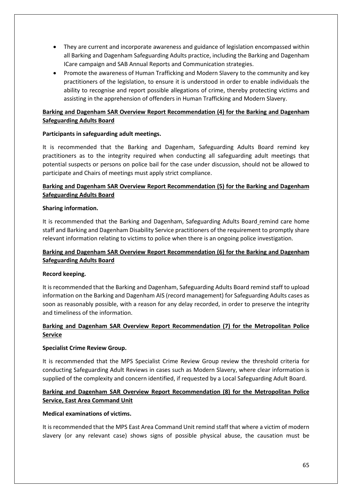- They are current and incorporate awareness and guidance of legislation encompassed within all Barking and Dagenham Safeguarding Adults practice, including the Barking and Dagenham ICare campaign and SAB Annual Reports and Communication strategies.
- Promote the awareness of Human Trafficking and Modern Slavery to the community and key practitioners of the legislation, to ensure it is understood in order to enable individuals the ability to recognise and report possible allegations of crime, thereby protecting victims and assisting in the apprehension of offenders in Human Trafficking and Modern Slavery.

# **Barking and Dagenham SAR Overview Report Recommendation (4) for the Barking and Dagenham Safeguarding Adults Board**

### **Participants in safeguarding adult meetings.**

It is recommended that the Barking and Dagenham, Safeguarding Adults Board remind key practitioners as to the integrity required when conducting all safeguarding adult meetings that potential suspects or persons on police bail for the case under discussion, should not be allowed to participate and Chairs of meetings must apply strict compliance.

# **Barking and Dagenham SAR Overview Report Recommendation (5) for the Barking and Dagenham Safeguarding Adults Board**

### **Sharing information.**

It is recommended that the Barking and Dagenham, Safeguarding Adults Board remind care home staff and Barking and Dagenham Disability Service practitioners of the requirement to promptly share relevant information relating to victims to police when there is an ongoing police investigation.

# **Barking and Dagenham SAR Overview Report Recommendation (6) for the Barking and Dagenham Safeguarding Adults Board**

# **Record keeping.**

It is recommended that the Barking and Dagenham, Safeguarding Adults Board remind staff to upload information on the Barking and Dagenham AIS (record management) for Safeguarding Adults cases as soon as reasonably possible, with a reason for any delay recorded, in order to preserve the integrity and timeliness of the information.

# **Barking and Dagenham SAR Overview Report Recommendation (7) for the Metropolitan Police Service**

# **Specialist Crime Review Group.**

It is recommended that the MPS Specialist Crime Review Group review the threshold criteria for conducting Safeguarding Adult Reviews in cases such as Modern Slavery, where clear information is supplied of the complexity and concern identified, if requested by a Local Safeguarding Adult Board.

# **Barking and Dagenham SAR Overview Report Recommendation (8) for the Metropolitan Police Service, East Area Command Unit**

### **Medical examinations of victims.**

It is recommended that the MPS East Area Command Unit remind staff that where a victim of modern slavery (or any relevant case) shows signs of possible physical abuse, the causation must be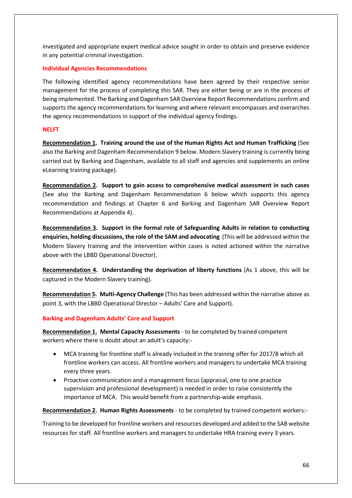investigated and appropriate expert medical advice sought in order to obtain and preserve evidence in any potential criminal investigation.

### **Individual Agencies Recommendations**

The following identified agency recommendations have been agreed by their respective senior management for the process of completing this SAR. They are either being or are in the process of being implemented. The Barking and Dagenham SAR Overview Report Recommendations confirm and supports the agency recommendations for learning and where relevant encompasses and overarches the agency recommendations in support of the individual agency findings.

### **NELFT**

**Recommendation 1. Training around the use of the Human Rights Act and Human Trafficking** (See also the Barking and Dagenham Recommendation 9 below. Modern Slavery training is currently being carried out by Barking and Dagenham, available to all staff and agencies and supplements an online eLearning training package).

**Recommendation 2. Support to gain access to comprehensive medical assessment in such cases** (See also the Barking and Dagenham Recommendation 6 below which supports this agency recommendation and findings at Chapter 6 and Barking and Dagenham SAR Overview Report Recommendations at Appendix 4).

**Recommendation 3. Support in the formal role of Safeguarding Adults in relation to conducting enquiries, holding discussions, the role of the SAM and advocating** (This will be addressed within the Modern Slavery training and the intervention within cases is noted actioned within the narrative above with the LBBD Operational Director).

**Recommendation 4. Understanding the deprivation of liberty functions** (As 1 above, this will be captured in the Modern Slavery training).

**Recommendation 5. Multi-Agency Challenge** (This has been addressed within the narrative above as point 3, with the LBBD Operational Director – Adults' Care and Support).

### **Barking and Dagenham Adults' Care and Support**

**Recommendation 1. Mental Capacity Assessments** - to be completed by trained competent workers where there is doubt about an adult's capacity:-

- MCA training for frontline staff is already included in the training offer for 2017/8 which all frontline workers can access. All frontline workers and managers to undertake MCA training every three years.
- Proactive communication and a management focus (appraisal, one to one practice supervision and professional development) is needed in order to raise consistently the importance of MCA. This would benefit from a partnership-wide emphasis.

**Recommendation 2. Human Rights Assessments** - to be completed by trained competent workers:-

Training to be developed for frontline workers and resources developed and added to the SAB website resources for staff. All frontline workers and managers to undertake HRA training every 3 years.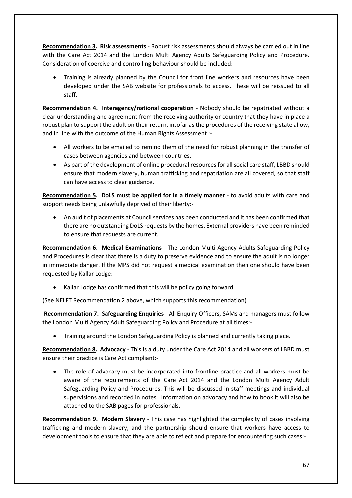**Recommendation 3. Risk assessments** - Robust risk assessments should always be carried out in line with the Care Act 2014 and the London Multi Agency Adults Safeguarding Policy and Procedure. Consideration of coercive and controlling behaviour should be included:-

• Training is already planned by the Council for front line workers and resources have been developed under the SAB website for professionals to access. These will be reissued to all staff.

**Recommendation 4. Interagency/national cooperation** - Nobody should be repatriated without a clear understanding and agreement from the receiving authority or country that they have in place a robust plan to support the adult on their return, insofar as the procedures of the receiving state allow, and in line with the outcome of the Human Rights Assessment :-

- All workers to be emailed to remind them of the need for robust planning in the transfer of cases between agencies and between countries.
- As part of the development of online procedural resources for all social care staff, LBBD should ensure that modern slavery, human trafficking and repatriation are all covered, so that staff can have access to clear guidance.

**Recommendation 5. DoLS must be applied for in a timely manner** - to avoid adults with care and support needs being unlawfully deprived of their liberty:-

• An audit of placements at Council services has been conducted and it has been confirmed that there are no outstanding DoLS requests by the homes. External providers have been reminded to ensure that requests are current.

**Recommendation 6. Medical Examinations** - The London Multi Agency Adults Safeguarding Policy and Procedures is clear that there is a duty to preserve evidence and to ensure the adult is no longer in immediate danger. If the MPS did not request a medical examination then one should have been requested by Kallar Lodge:-

• Kallar Lodge has confirmed that this will be policy going forward.

(See NELFT Recommendation 2 above, which supports this recommendation).

**Recommendation 7. Safeguarding Enquiries** - All Enquiry Officers, SAMs and managers must follow the London Multi Agency Adult Safeguarding Policy and Procedure at all times:-

• Training around the London Safeguarding Policy is planned and currently taking place.

**Recommendation 8. Advocacy** - This is a duty under the Care Act 2014 and all workers of LBBD must ensure their practice is Care Act compliant:-

• The role of advocacy must be incorporated into frontline practice and all workers must be aware of the requirements of the Care Act 2014 and the London Multi Agency Adult Safeguarding Policy and Procedures. This will be discussed in staff meetings and individual supervisions and recorded in notes. Information on advocacy and how to book it will also be attached to the SAB pages for professionals.

**Recommendation 9. Modern Slavery** - This case has highlighted the complexity of cases involving trafficking and modern slavery, and the partnership should ensure that workers have access to development tools to ensure that they are able to reflect and prepare for encountering such cases:-